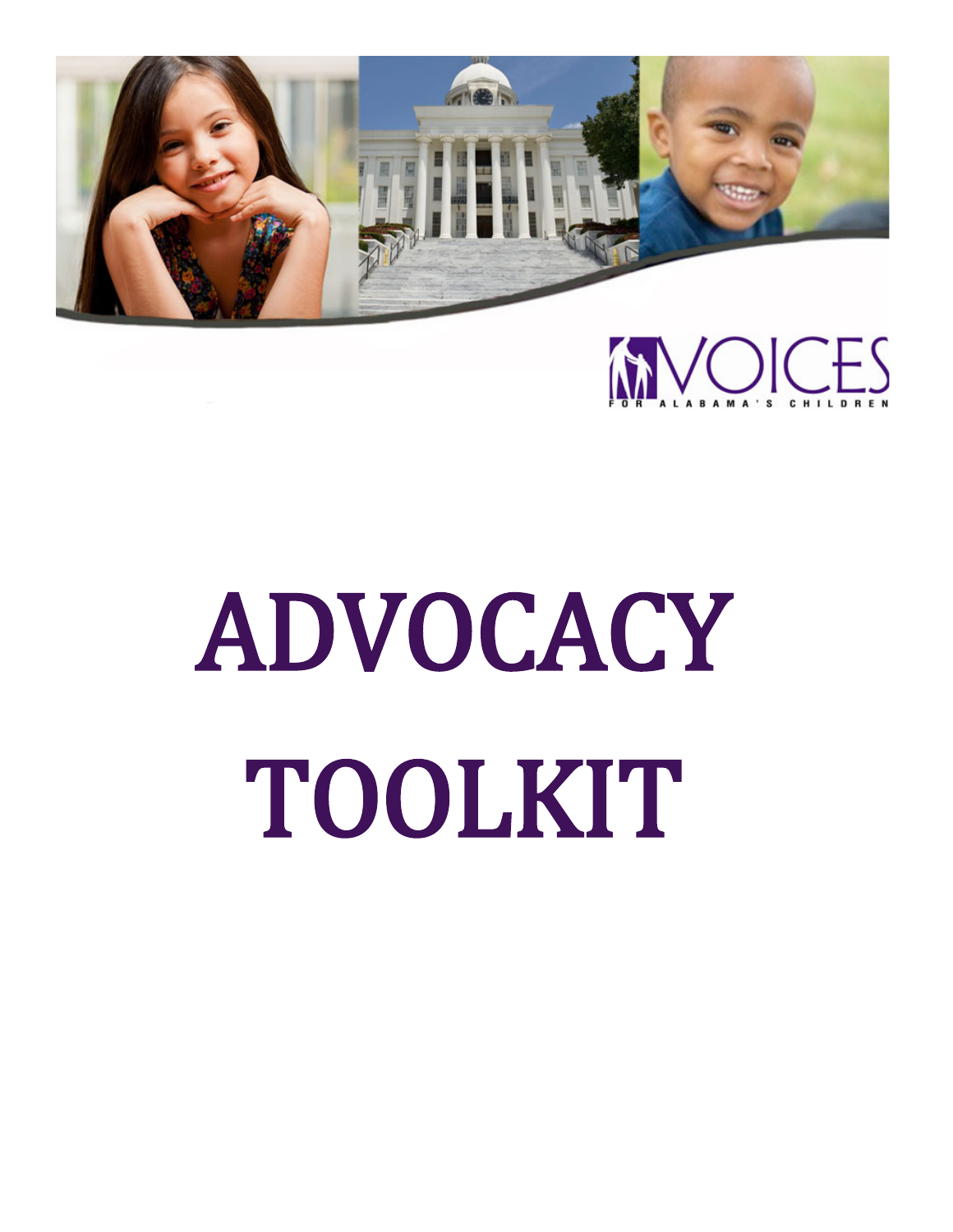



# ADVOCACY TOOLKIT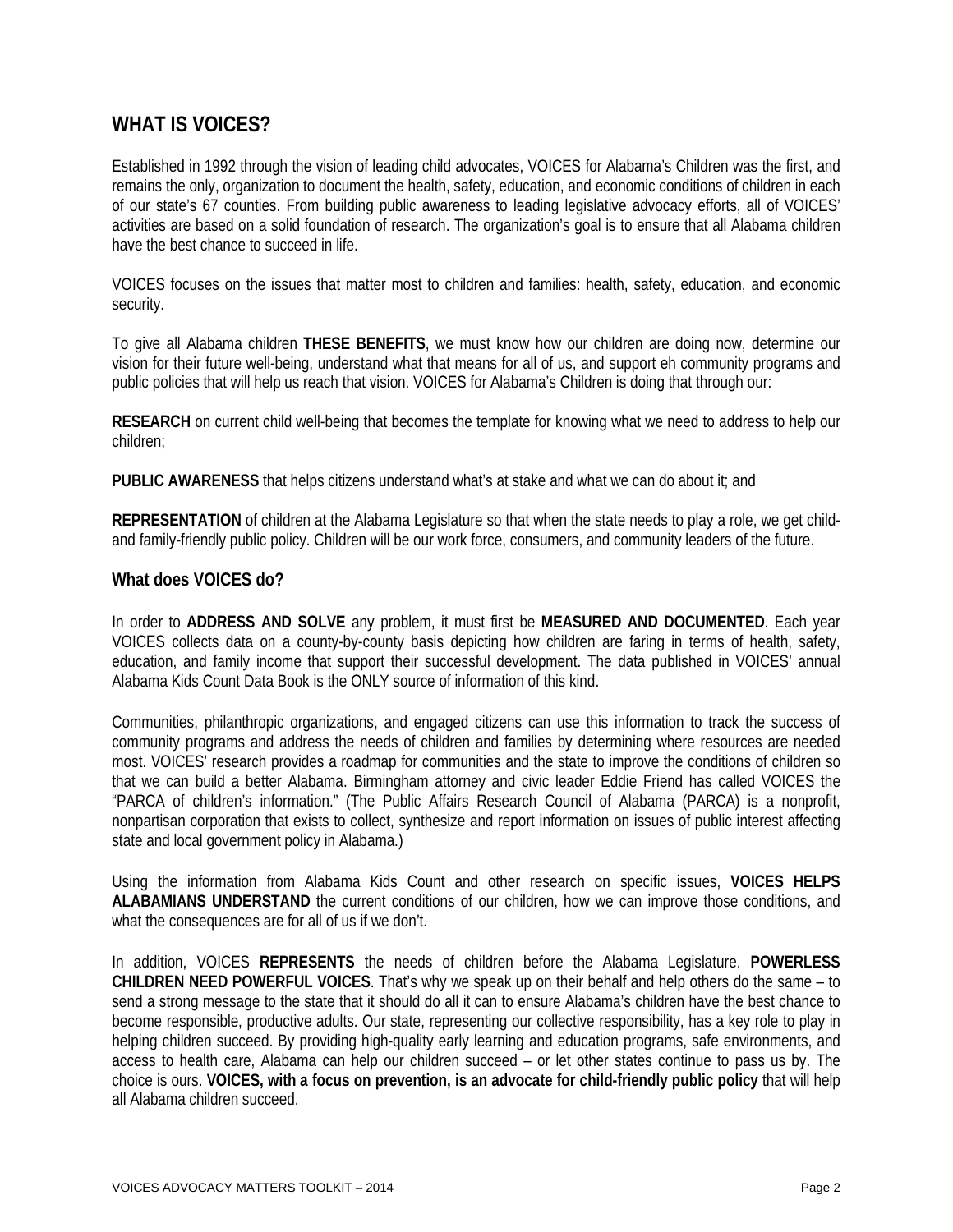## **WHAT IS VOICES?**

Established in 1992 through the vision of leading child advocates, VOICES for Alabama's Children was the first, and remains the only, organization to document the health, safety, education, and economic conditions of children in each of our state's 67 counties. From building public awareness to leading legislative advocacy efforts, all of VOICES' activities are based on a solid foundation of research. The organization's goal is to ensure that all Alabama children have the best chance to succeed in life.

VOICES focuses on the issues that matter most to children and families: health, safety, education, and economic security.

To give all Alabama children **THESE BENEFITS**, we must know how our children are doing now, determine our vision for their future well-being, understand what that means for all of us, and support eh community programs and public policies that will help us reach that vision. VOICES for Alabama's Children is doing that through our:

**RESEARCH** on current child well-being that becomes the template for knowing what we need to address to help our children;

**PUBLIC AWARENESS** that helps citizens understand what's at stake and what we can do about it; and

**REPRESENTATION** of children at the Alabama Legislature so that when the state needs to play a role, we get childand family-friendly public policy. Children will be our work force, consumers, and community leaders of the future.

#### **What does VOICES do?**

In order to **ADDRESS AND SOLVE** any problem, it must first be **MEASURED AND DOCUMENTED**. Each year VOICES collects data on a county-by-county basis depicting how children are faring in terms of health, safety, education, and family income that support their successful development. The data published in VOICES' annual Alabama Kids Count Data Book is the ONLY source of information of this kind.

Communities, philanthropic organizations, and engaged citizens can use this information to track the success of community programs and address the needs of children and families by determining where resources are needed most. VOICES' research provides a roadmap for communities and the state to improve the conditions of children so that we can build a better Alabama. Birmingham attorney and civic leader Eddie Friend has called VOICES the "PARCA of children's information." (The Public Affairs Research Council of Alabama (PARCA) is a nonprofit, nonpartisan corporation that exists to collect, synthesize and report information on issues of public interest affecting state and local government policy in Alabama.)

Using the information from Alabama Kids Count and other research on specific issues, **VOICES HELPS ALABAMIANS UNDERSTAND** the current conditions of our children, how we can improve those conditions, and what the consequences are for all of us if we don't.

In addition, VOICES **REPRESENTS** the needs of children before the Alabama Legislature. **POWERLESS CHILDREN NEED POWERFUL VOICES**. That's why we speak up on their behalf and help others do the same – to send a strong message to the state that it should do all it can to ensure Alabama's children have the best chance to become responsible, productive adults. Our state, representing our collective responsibility, has a key role to play in helping children succeed. By providing high-quality early learning and education programs, safe environments, and access to health care, Alabama can help our children succeed – or let other states continue to pass us by. The choice is ours. **VOICES, with a focus on prevention, is an advocate for child-friendly public policy** that will help all Alabama children succeed.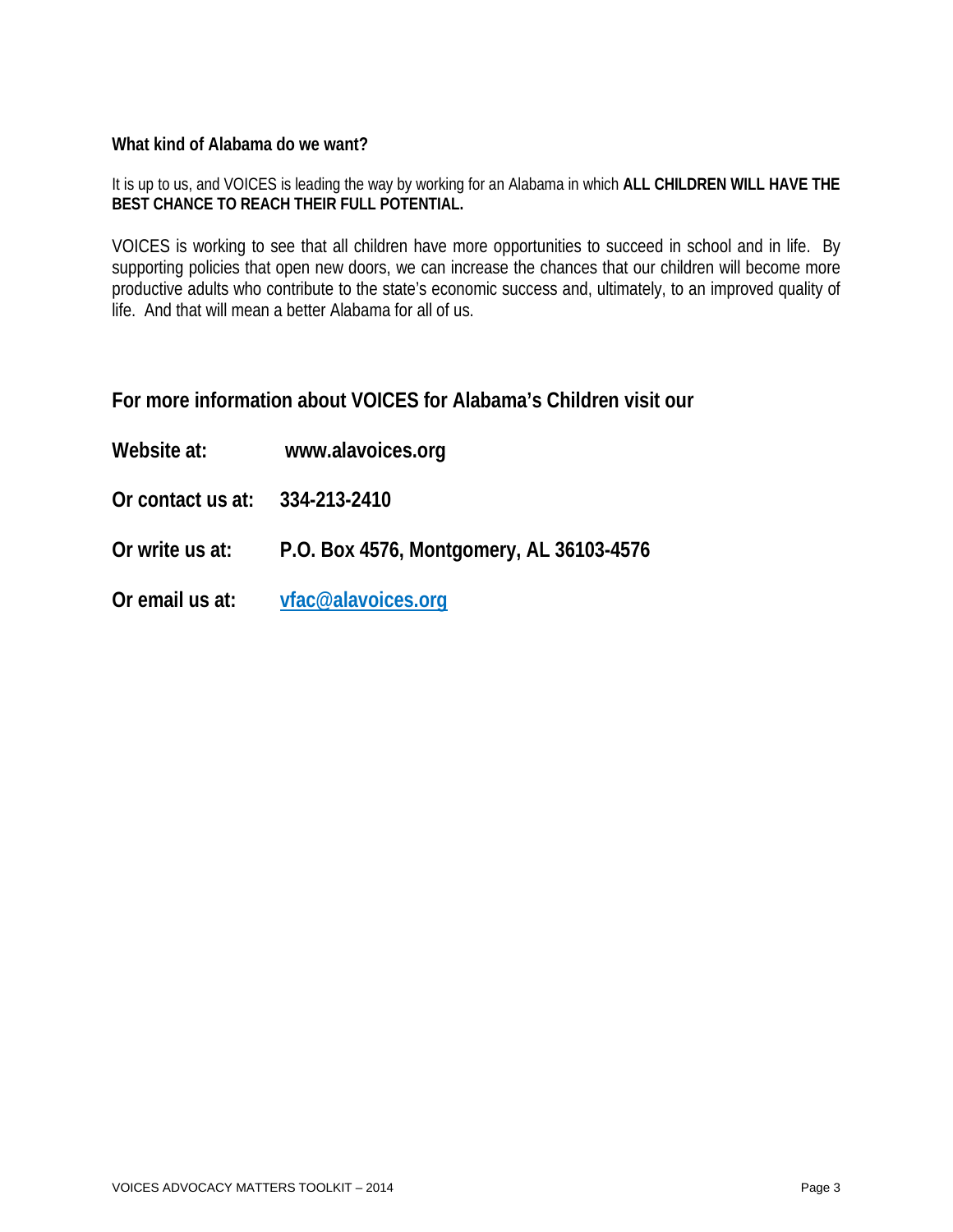#### **What kind of Alabama do we want?**

It is up to us, and VOICES is leading the way by working for an Alabama in which **ALL CHILDREN WILL HAVE THE BEST CHANCE TO REACH THEIR FULL POTENTIAL.**

VOICES is working to see that all children have more opportunities to succeed in school and in life. By supporting policies that open new doors, we can increase the chances that our children will become more productive adults who contribute to the state's economic success and, ultimately, to an improved quality of life. And that will mean a better Alabama for all of us.

### **For more information about VOICES for Alabama's Children visit our**

- **Website at: www.alavoices.org**
- **Or contact us at: 334-213-2410**
- **Or write us at: P.O. Box 4576, Montgomery, AL 36103-4576**
- **Or email us at: [vfac@alavoices.org](mailto:vfac@alavoices.org)**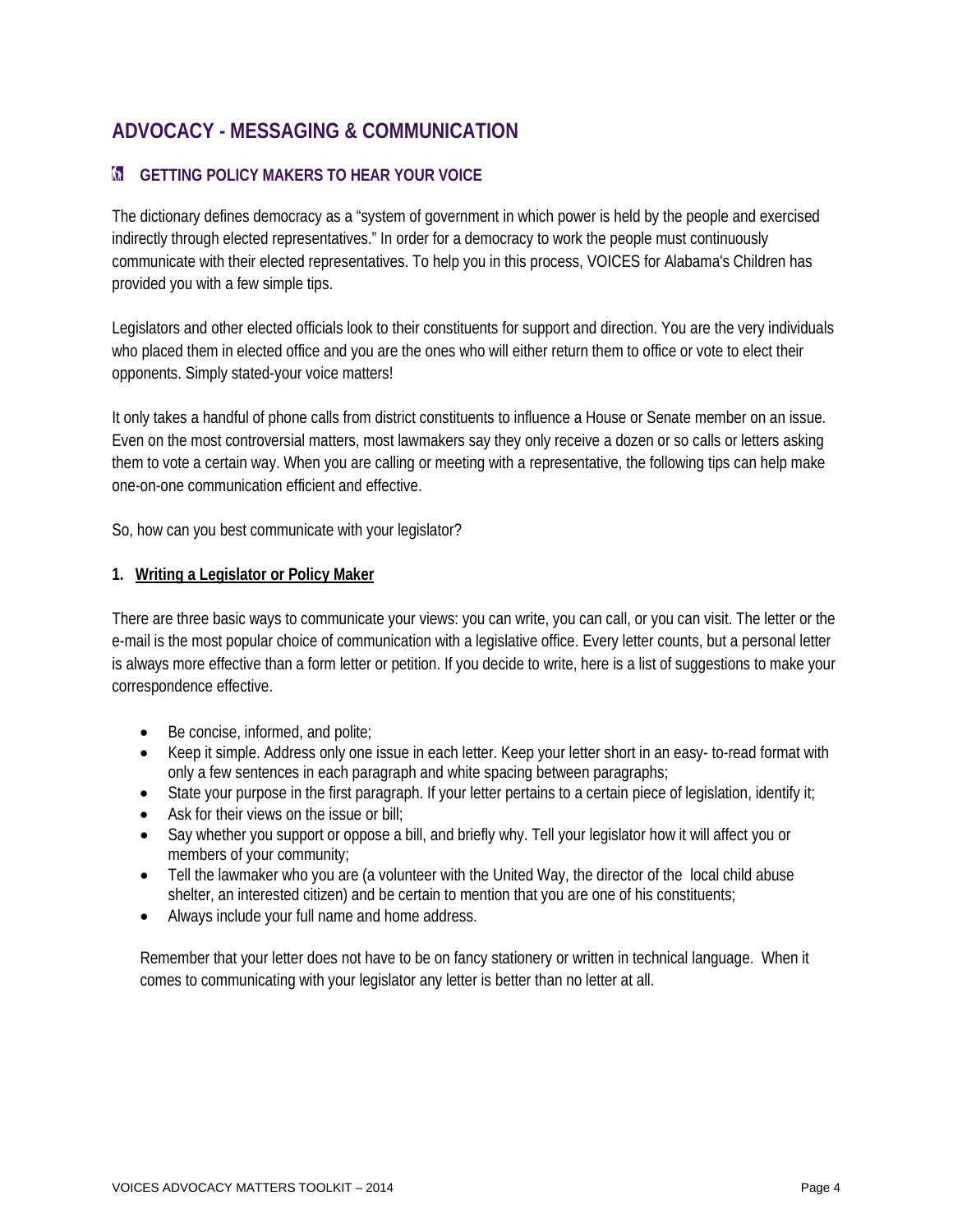# **ADVOCACY - MESSAGING & COMMUNICATION**

## **M** GETTING POLICY MAKERS TO HEAR YOUR VOICE

The dictionary defines democracy as a "system of government in which power is held by the people and exercised indirectly through elected representatives." In order for a democracy to work the people must continuously communicate with their elected representatives. To help you in this process, VOICES for Alabama's Children has provided you with a few simple tips.

Legislators and other elected officials look to their constituents for support and direction. You are the very individuals who placed them in elected office and you are the ones who will either return them to office or vote to elect their opponents. Simply stated-your voice matters!

It only takes a handful of phone calls from district constituents to influence a House or Senate member on an issue. Even on the most controversial matters, most lawmakers say they only receive a dozen or so calls or letters asking them to vote a certain way. When you are calling or meeting with a representative, the following tips can help make one-on-one communication efficient and effective.

So, how can you best communicate with your legislator?

#### **1. Writing a Legislator or Policy Maker**

There are three basic ways to communicate your views: you can write, you can call, or you can visit. The letter or the e-mail is the most popular choice of communication with a legislative office. Every letter counts, but a personal letter is always more effective than a form letter or petition. If you decide to write, here is a list of suggestions to make your correspondence effective.

- Be concise, informed, and polite;
- Keep it simple. Address only one issue in each letter. Keep your letter short in an easy- to-read format with only a few sentences in each paragraph and white spacing between paragraphs;
- State your purpose in the first paragraph. If your letter pertains to a certain piece of legislation, identify it;
- Ask for their views on the issue or bill;
- Say whether you support or oppose a bill, and briefly why. Tell your legislator how it will affect you or members of your community;
- Tell the lawmaker who you are (a volunteer with the United Way, the director of the local child abuse shelter, an interested citizen) and be certain to mention that you are one of his constituents;
- Always include your full name and home address.

Remember that your letter does not have to be on fancy stationery or written in technical language. When it comes to communicating with your legislator any letter is better than no letter at all.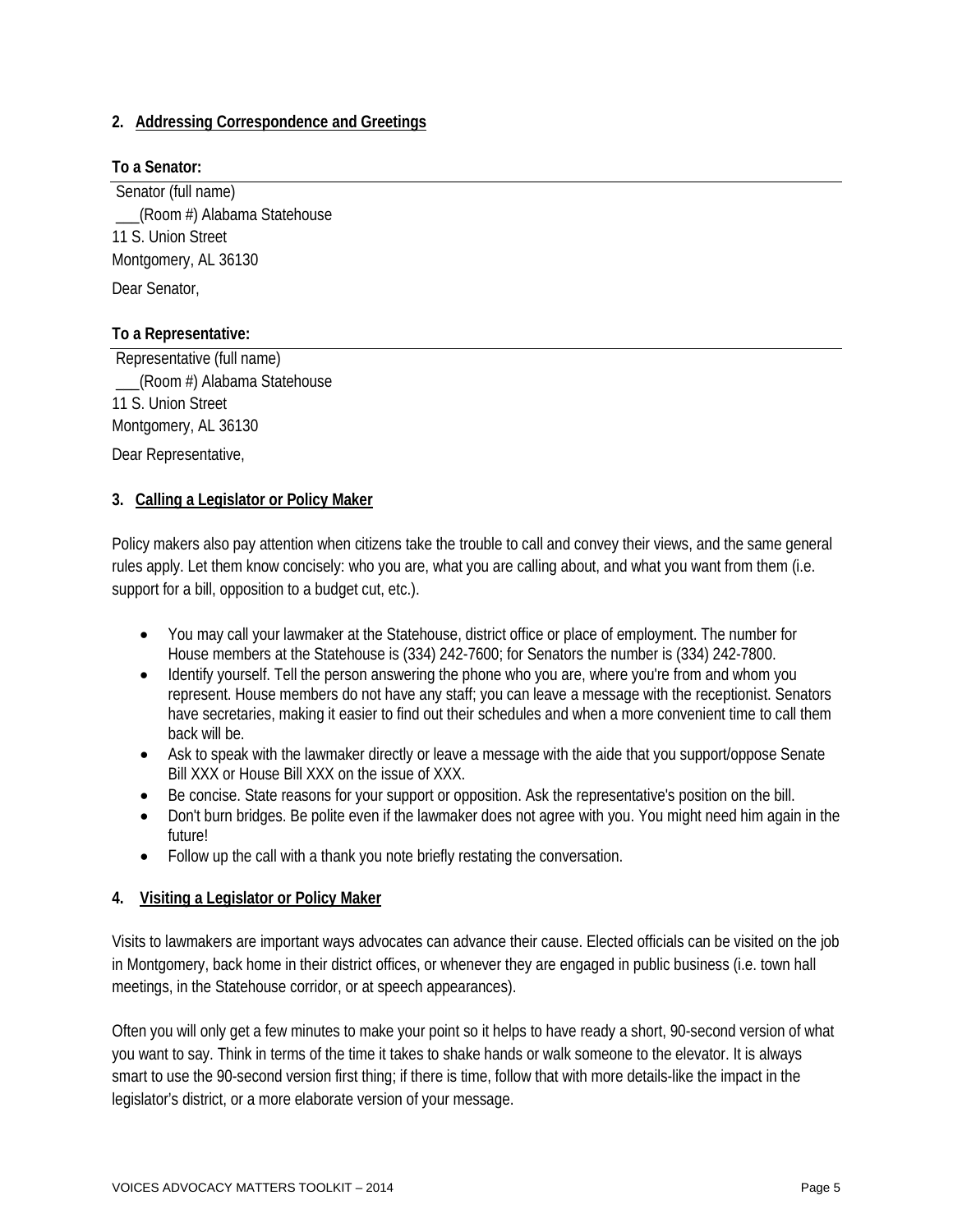#### **2. Addressing Correspondence and Greetings**

#### **To a Senator:**

Senator (full name) \_\_\_(Room #) Alabama Statehouse 11 S. Union Street Montgomery, AL 36130 Dear Senator,

#### **To a Representative:**

Representative (full name) \_\_\_(Room #) Alabama Statehouse 11 S. Union Street Montgomery, AL 36130 Dear Representative,

#### **3. Calling a Legislator or Policy Maker**

Policy makers also pay attention when citizens take the trouble to call and convey their views, and the same general rules apply. Let them know concisely: who you are, what you are calling about, and what you want from them (i.e. support for a bill, opposition to a budget cut, etc.).

- You may call your lawmaker at the Statehouse, district office or place of employment. The number for House members at the Statehouse is (334) 242-7600; for Senators the number is (334) 242-7800.
- Identify yourself. Tell the person answering the phone who you are, where you're from and whom you represent. House members do not have any staff; you can leave a message with the receptionist. Senators have secretaries, making it easier to find out their schedules and when a more convenient time to call them back will be.
- Ask to speak with the lawmaker directly or leave a message with the aide that you support/oppose Senate Bill XXX or House Bill XXX on the issue of XXX.
- Be concise. State reasons for your support or opposition. Ask the representative's position on the bill.
- Don't burn bridges. Be polite even if the lawmaker does not agree with you. You might need him again in the future!
- Follow up the call with a thank you note briefly restating the conversation.

#### **4. Visiting a Legislator or Policy Maker**

Visits to lawmakers are important ways advocates can advance their cause. Elected officials can be visited on the job in Montgomery, back home in their district offices, or whenever they are engaged in public business (i.e. town hall meetings, in the Statehouse corridor, or at speech appearances).

Often you will only get a few minutes to make your point so it helps to have ready a short, 90-second version of what you want to say. Think in terms of the time it takes to shake hands or walk someone to the elevator. It is always smart to use the 90-second version first thing; if there is time, follow that with more details-like the impact in the legislator's district, or a more elaborate version of your message.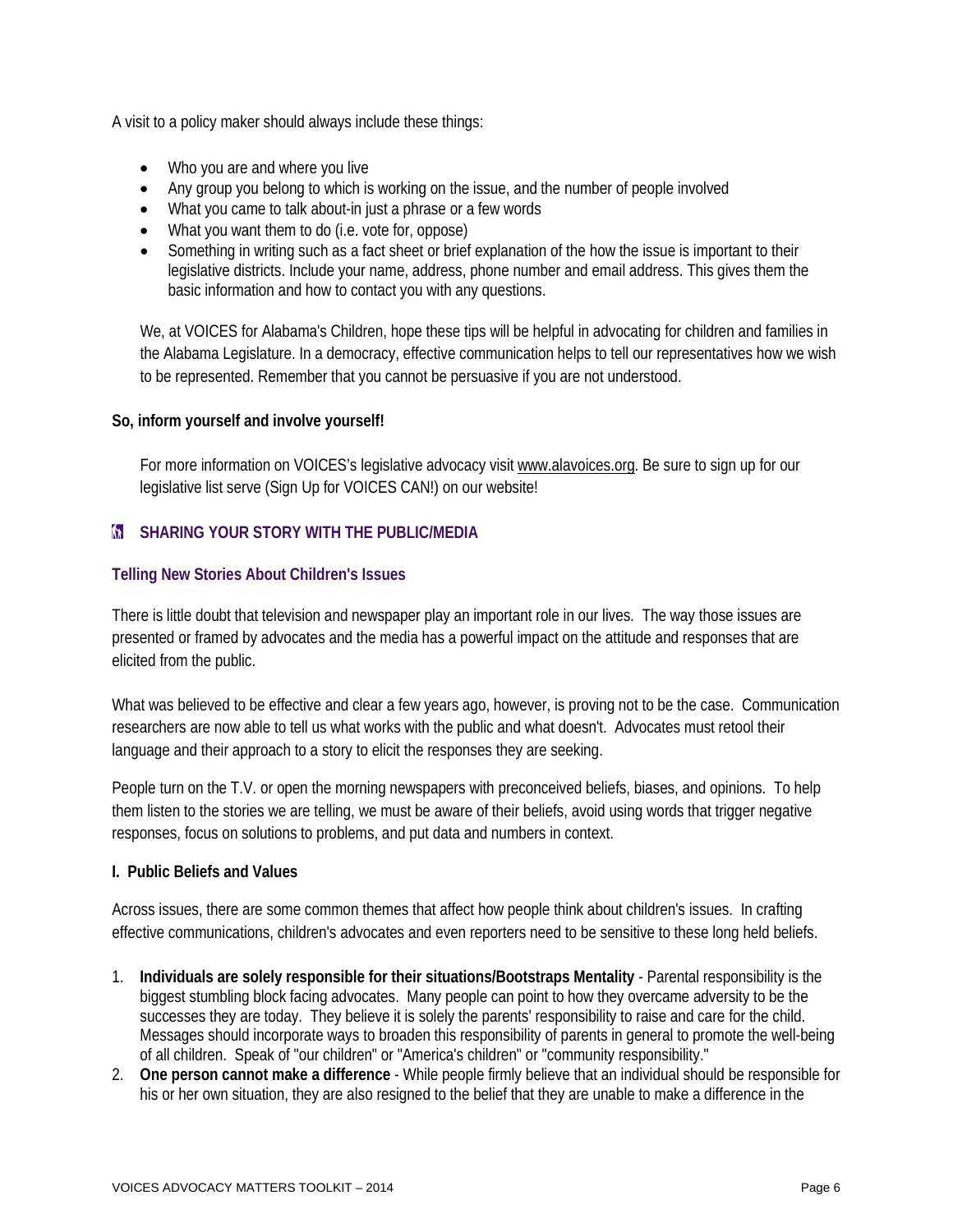A visit to a policy maker should always include these things:

- Who you are and where you live
- Any group you belong to which is working on the issue, and the number of people involved
- What you came to talk about-in just a phrase or a few words
- What you want them to do (i.e. vote for, oppose)
- Something in writing such as a fact sheet or brief explanation of the how the issue is important to their legislative districts. Include your name, address, phone number and email address. This gives them the basic information and how to contact you with any questions.

We, at VOICES for Alabama's Children, hope these tips will be helpful in advocating for children and families in the Alabama Legislature. In a democracy, effective communication helps to tell our representatives how we wish to be represented. Remember that you cannot be persuasive if you are not understood.

#### **So, inform yourself and involve yourself!**

For more information on VOICES's legislative advocacy visi[t www.alavoices.org.](http://www.alavoices.org/) Be sure to sign up for our legislative list serve (Sign Up for VOICES CAN!) on our website!

#### **M** SHARING YOUR STORY WITH THE PUBLIC/MEDIA

#### **Telling New Stories About Children's Issues**

There is little doubt that television and newspaper play an important role in our lives. The way those issues are presented or framed by advocates and the media has a powerful impact on the attitude and responses that are elicited from the public.

What was believed to be effective and clear a few years ago, however, is proving not to be the case. Communication researchers are now able to tell us what works with the public and what doesn't. Advocates must retool their language and their approach to a story to elicit the responses they are seeking.

People turn on the T.V. or open the morning newspapers with preconceived beliefs, biases, and opinions. To help them listen to the stories we are telling, we must be aware of their beliefs, avoid using words that trigger negative responses, focus on solutions to problems, and put data and numbers in context.

#### **I. Public Beliefs and Values**

Across issues, there are some common themes that affect how people think about children's issues. In crafting effective communications, children's advocates and even reporters need to be sensitive to these long held beliefs.

- 1. **Individuals are solely responsible for their situations/Bootstraps Mentality** Parental responsibility is the biggest stumbling block facing advocates. Many people can point to how they overcame adversity to be the successes they are today. They believe it is solely the parents' responsibility to raise and care for the child. Messages should incorporate ways to broaden this responsibility of parents in general to promote the well-being of all children. Speak of "our children" or "America's children" or "community responsibility."
- 2. **One person cannot make a difference** While people firmly believe that an individual should be responsible for his or her own situation, they are also resigned to the belief that they are unable to make a difference in the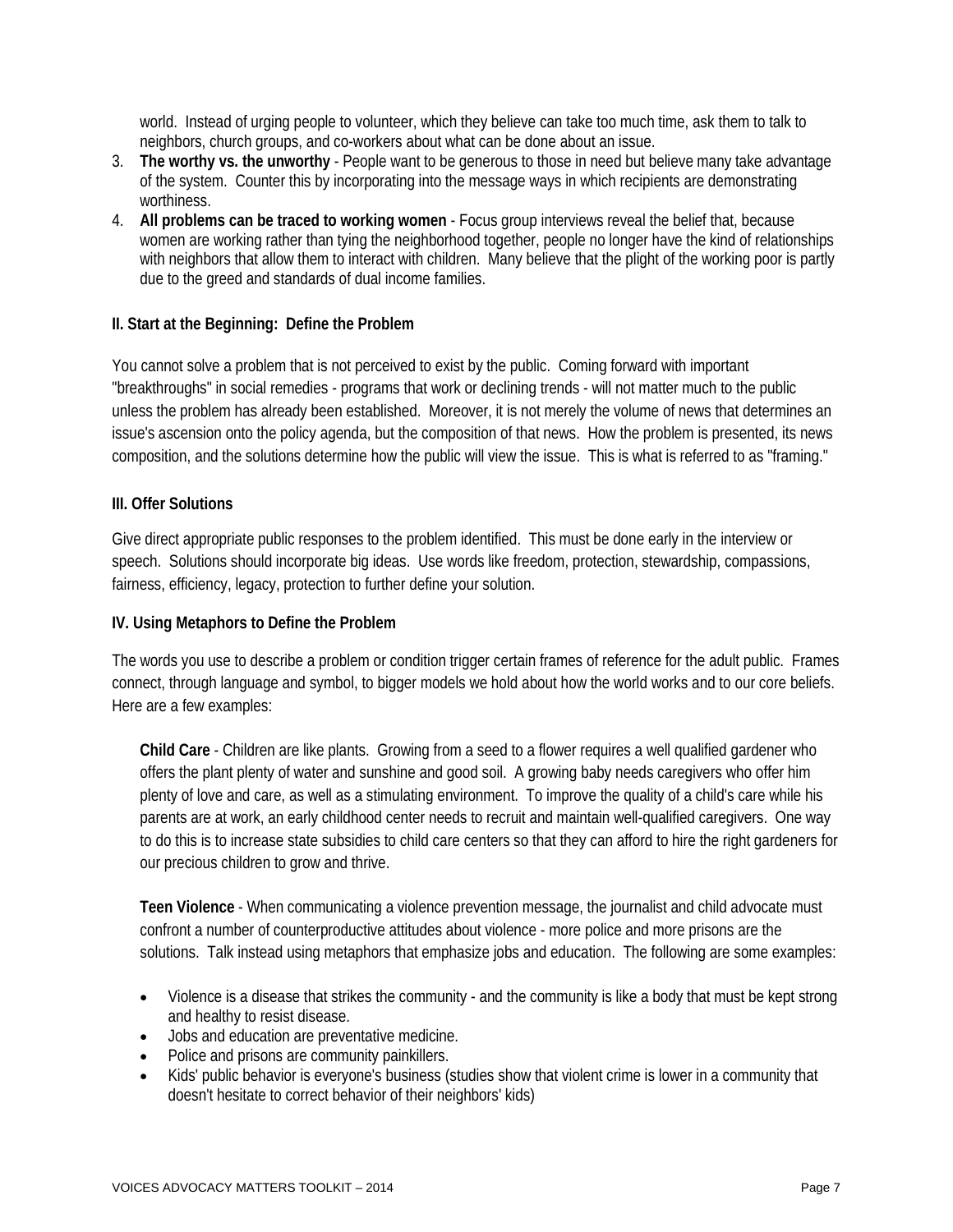world. Instead of urging people to volunteer, which they believe can take too much time, ask them to talk to neighbors, church groups, and co-workers about what can be done about an issue.

- 3. **The worthy vs. the unworthy** People want to be generous to those in need but believe many take advantage of the system. Counter this by incorporating into the message ways in which recipients are demonstrating worthiness.
- 4. **All problems can be traced to working women** Focus group interviews reveal the belief that, because women are working rather than tying the neighborhood together, people no longer have the kind of relationships with neighbors that allow them to interact with children. Many believe that the plight of the working poor is partly due to the greed and standards of dual income families.

#### **II. Start at the Beginning: Define the Problem**

You cannot solve a problem that is not perceived to exist by the public. Coming forward with important "breakthroughs" in social remedies - programs that work or declining trends - will not matter much to the public unless the problem has already been established. Moreover, it is not merely the volume of news that determines an issue's ascension onto the policy agenda, but the composition of that news. How the problem is presented, its news composition, and the solutions determine how the public will view the issue. This is what is referred to as "framing."

#### **III. Offer Solutions**

Give direct appropriate public responses to the problem identified. This must be done early in the interview or speech. Solutions should incorporate big ideas. Use words like freedom, protection, stewardship, compassions, fairness, efficiency, legacy, protection to further define your solution.

#### **IV. Using Metaphors to Define the Problem**

The words you use to describe a problem or condition trigger certain frames of reference for the adult public. Frames connect, through language and symbol, to bigger models we hold about how the world works and to our core beliefs. Here are a few examples:

**Child Care** - Children are like plants. Growing from a seed to a flower requires a well qualified gardener who offers the plant plenty of water and sunshine and good soil. A growing baby needs caregivers who offer him plenty of love and care, as well as a stimulating environment. To improve the quality of a child's care while his parents are at work, an early childhood center needs to recruit and maintain well-qualified caregivers. One way to do this is to increase state subsidies to child care centers so that they can afford to hire the right gardeners for our precious children to grow and thrive.

**Teen Violence** - When communicating a violence prevention message, the journalist and child advocate must confront a number of counterproductive attitudes about violence - more police and more prisons are the solutions. Talk instead using metaphors that emphasize jobs and education. The following are some examples:

- Violence is a disease that strikes the community and the community is like a body that must be kept strong and healthy to resist disease.
- Jobs and education are preventative medicine.
- Police and prisons are community painkillers.
- Kids' public behavior is everyone's business (studies show that violent crime is lower in a community that doesn't hesitate to correct behavior of their neighbors' kids)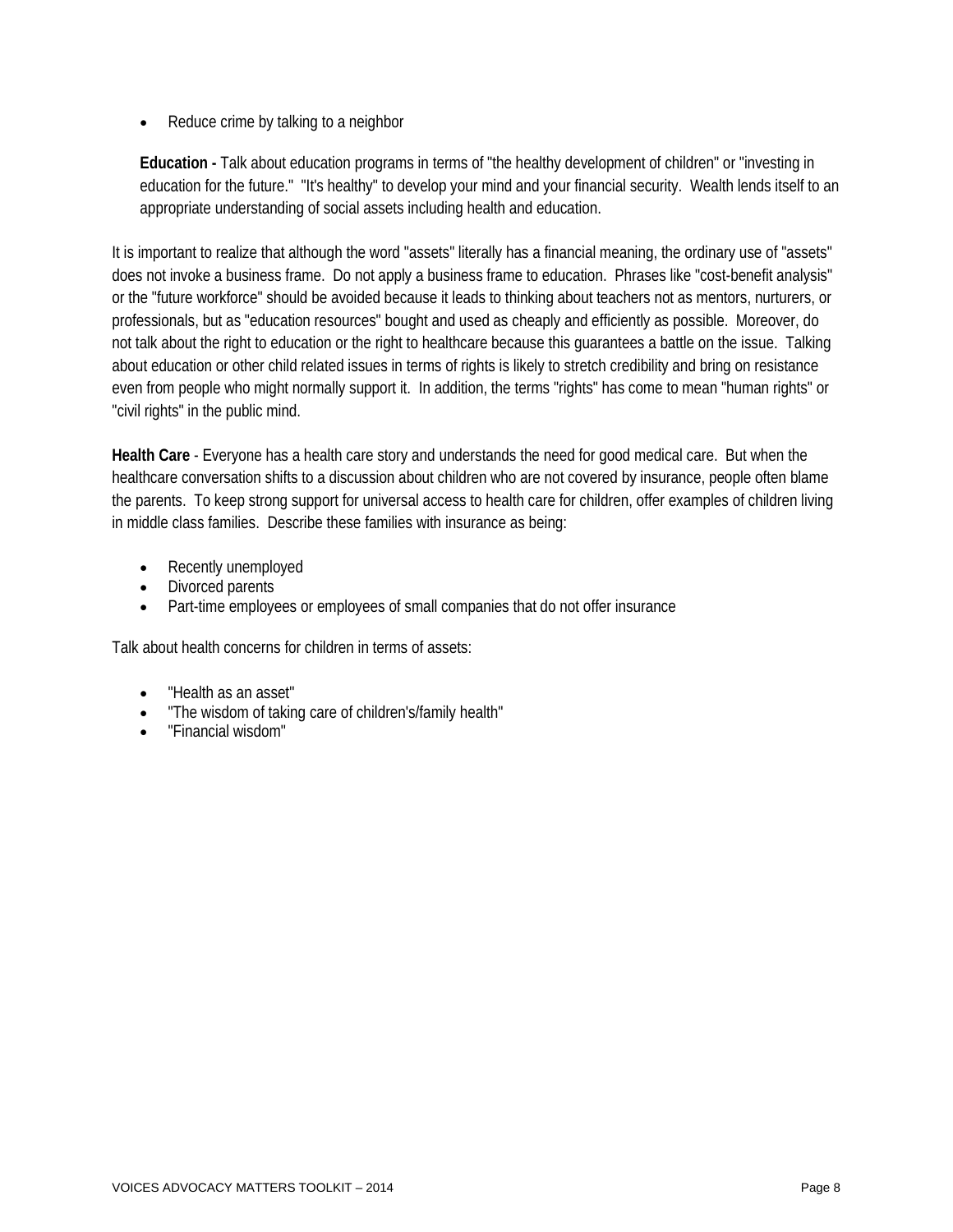Reduce crime by talking to a neighbor

**Education -** Talk about education programs in terms of "the healthy development of children" or "investing in education for the future." "It's healthy" to develop your mind and your financial security. Wealth lends itself to an appropriate understanding of social assets including health and education.

It is important to realize that although the word "assets" literally has a financial meaning, the ordinary use of "assets" does not invoke a business frame. Do not apply a business frame to education. Phrases like "cost-benefit analysis" or the "future workforce" should be avoided because it leads to thinking about teachers not as mentors, nurturers, or professionals, but as "education resources" bought and used as cheaply and efficiently as possible. Moreover, do not talk about the right to education or the right to healthcare because this guarantees a battle on the issue. Talking about education or other child related issues in terms of rights is likely to stretch credibility and bring on resistance even from people who might normally support it. In addition, the terms "rights" has come to mean "human rights" or "civil rights" in the public mind.

**Health Care** - Everyone has a health care story and understands the need for good medical care. But when the healthcare conversation shifts to a discussion about children who are not covered by insurance, people often blame the parents. To keep strong support for universal access to health care for children, offer examples of children living in middle class families. Describe these families with insurance as being:

- Recently unemployed
- Divorced parents
- Part-time employees or employees of small companies that do not offer insurance

Talk about health concerns for children in terms of assets:

- "Health as an asset"
- "The wisdom of taking care of children's/family health"
- "Financial wisdom"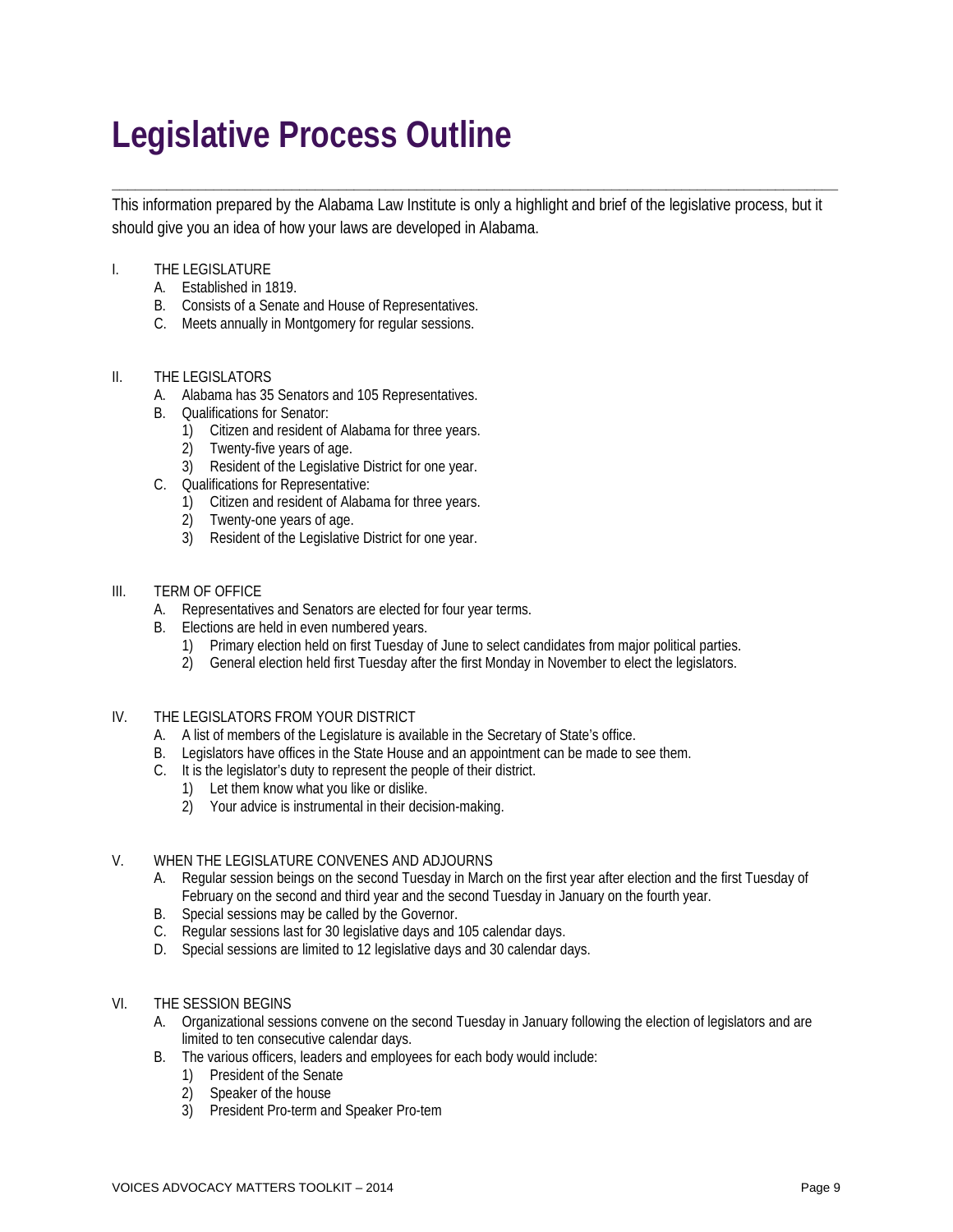# **Legislative Process Outline**

This information prepared by the Alabama Law Institute is only a highlight and brief of the legislative process, but it should give you an idea of how your laws are developed in Alabama.

**\_\_\_\_\_\_\_\_\_\_\_\_\_\_\_\_\_\_\_\_\_\_\_\_\_\_\_\_\_\_\_\_\_\_\_\_\_\_\_\_\_\_\_\_\_\_\_\_\_\_\_\_\_\_\_\_\_\_\_\_\_\_\_\_\_\_\_\_\_\_\_\_\_\_\_\_\_\_\_\_\_\_\_\_\_\_\_\_\_\_\_\_\_** 

#### I. THE LEGISLATURE

- A. Established in 1819.
- B. Consists of a Senate and House of Representatives.
- C. Meets annually in Montgomery for regular sessions.

#### II. THE LEGISLATORS

- A. Alabama has 35 Senators and 105 Representatives.
- B. Qualifications for Senator:
	- 1) Citizen and resident of Alabama for three years.
	- 2) Twenty-five years of age.
	- 3) Resident of the Legislative District for one year.
- C. Qualifications for Representative:
	- 1) Citizen and resident of Alabama for three years.
	- 2) Twenty-one years of age.
	- 3) Resident of the Legislative District for one year.

#### III. TERM OF OFFICE

- A. Representatives and Senators are elected for four year terms.
- B. Elections are held in even numbered years.
	- 1) Primary election held on first Tuesday of June to select candidates from major political parties.
	- 2) General election held first Tuesday after the first Monday in November to elect the legislators.
- IV. THE LEGISLATORS FROM YOUR DISTRICT
	- A. A list of members of the Legislature is available in the Secretary of State's office.
	- B. Legislators have offices in the State House and an appointment can be made to see them.
	- C. It is the legislator's duty to represent the people of their district.
		- 1) Let them know what you like or dislike.
		- 2) Your advice is instrumental in their decision-making.

#### V. WHEN THE LEGISLATURE CONVENES AND ADJOURNS

- A. Regular session beings on the second Tuesday in March on the first year after election and the first Tuesday of February on the second and third year and the second Tuesday in January on the fourth year.
- B. Special sessions may be called by the Governor.
- C. Regular sessions last for 30 legislative days and 105 calendar days.
- D. Special sessions are limited to 12 legislative days and 30 calendar days.
- VI. THE SESSION BEGINS
	- A. Organizational sessions convene on the second Tuesday in January following the election of legislators and are limited to ten consecutive calendar days.
	- B. The various officers, leaders and employees for each body would include:
		- 1) President of the Senate
		- 2) Speaker of the house
		- 3) President Pro-term and Speaker Pro-tem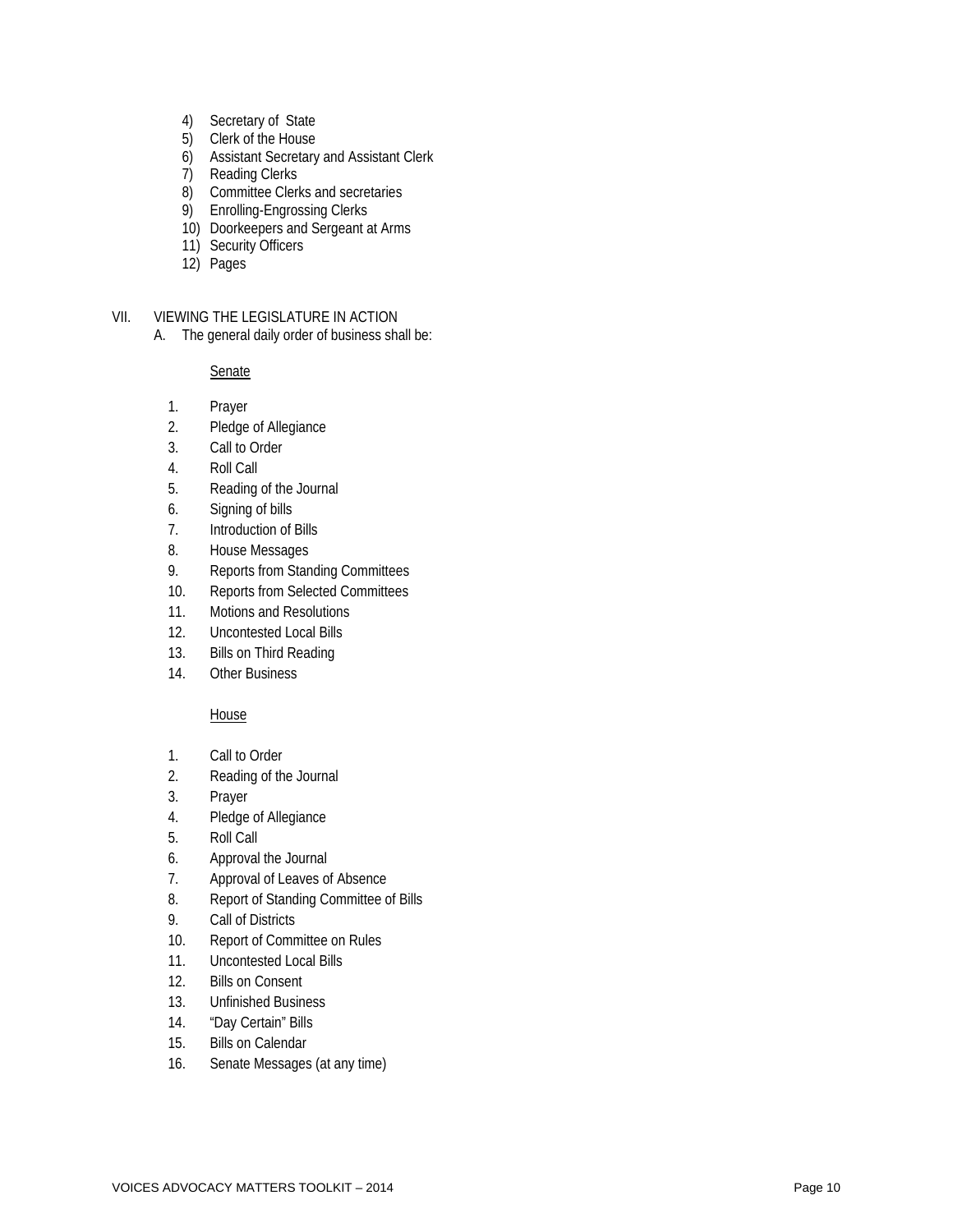- 4) Secretary of State
- 5) Clerk of the House
- 6) Assistant Secretary and Assistant Clerk
- 7) Reading Clerks
- 8) Committee Clerks and secretaries
- 9) Enrolling -Engrossing Clerks
- 10) Doorkeepers and Sergeant at Arms
- 11) Security Officers
- 12) Pages

#### VII. VIEWING THE LEGISLATURE IN ACTION

A. The general daily order of business shall be:

**Senate** 

- 1. Prayer
- 2. Pledge of Allegiance
- 3. Call to Order
- 4. Roll Call
- 5. Reading of the Journal
- 6. Signing of bills
- 7. Introduction of Bills
- 8. House Messages
- 9. Reports from Standing Committees
- 10. Reports from Selected Committees
- 11. Motions and Resolutions
- 12. Uncontested Local Bills
- 13. Bills on Third Reading
- 14. Other Business

#### **House**

- 1. Call to Order
- 2. Reading of the Journal
- 3. Prayer
- 4. Pledge of Allegiance
- 5. Roll Call
- 6. Approval the Journal
- 7. Approval of Leaves of Absence
- 8. Report of Standing Committee of Bills
- 9. Call of Districts
- 10. Report of Committee on Rules
- 11. Uncontested Local Bills
- 12. Bills on Consent
- 13. Unfinished Business
- 14. "Day Certain" Bills
- 15. Bills on Calendar
- 16. Senate Messages (at any time)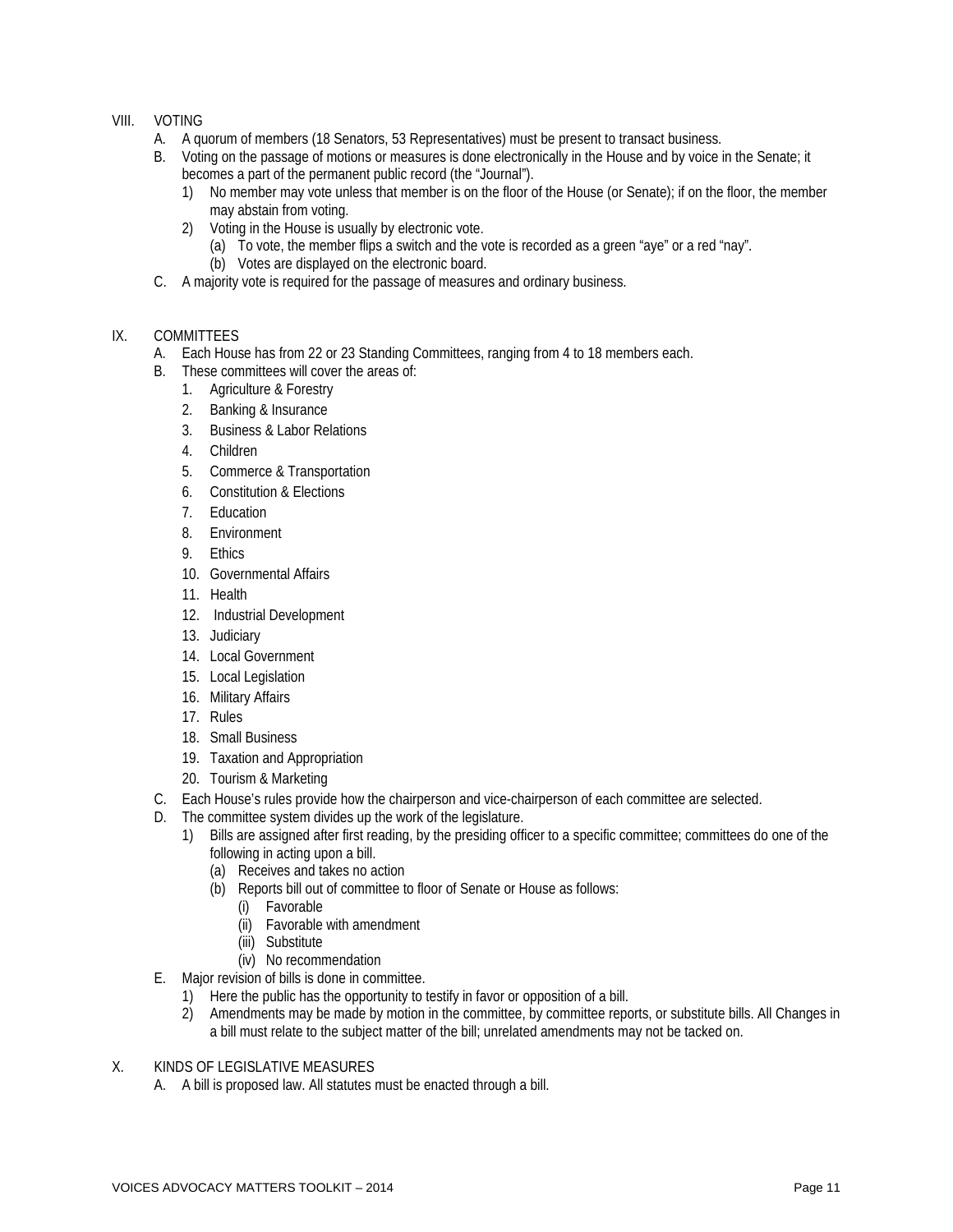#### VIII. VOTING

- A. A quorum of members (18 Senators, 53 Representatives) must be present to transact business.
- B. Voting on the passage of motions or measures is done electronically in the House and by voice in the Senate; it becomes a part of the permanent public record (the "Journal").
	- 1) No member may vote unless that member is on the floor of the House (or Senate); if on the floor, the member may abstain from voting.
	- 2) Voting in the House is usually by electronic vote.
		- (a) To vote, the member flips a switch and the vote is recorded as a green "aye" or a red "nay". (b) Votes are displayed on the electronic board.
- C. A majority vote is required for the passage of measures and ordinary business.

#### IX. COMMITTEES

- A. Each House has from 22 or 23 Standing Committees, ranging from 4 to 18 members each.
- B. These committees will cover the areas of:
	- 1. Agriculture & Forestry
	- 2. Banking & Insurance
	- 3. Business & Labor Relations
	- 4. Children
	- 5. Commerce & Transportation
	- 6. Constitution & Elections
	- 7. Education
	- 8. Environment
	- 9. Ethics
	- 10. Governmental Affairs
	- 11. Health
	- 12. Industrial Development
	- 13. Judiciary
	- 14. Local Government
	- 15. Local Legislation
	- 16. Military Affairs
	- 17. Rules
	- 18. Small Business
	- 19. Taxation and Appropriation
	- 20. Tourism & Marketing
- C. Each House's rules provide how the chairperson and vice-chairperson of each committee are selected.
- D. The committee system divides up the work of the legislature.
	- 1) Bills are assigned after first reading, by the presiding officer to a specific committee; committees do one of the following in acting upon a bill.
		- (a) Receives and takes no action
		- (b) Reports bill out of committee to floor of Senate or House as follows:
			- (i) Favorable
			- (ii) Favorable with amendment
			- (iii) Substitute
			- (iv) No recommendation
- E. Major revision of bills is done in committee.
	- 1) Here the public has the opportunity to testify in favor or opposition of a bill.
	- 2) Amendments may be made by motion in the committee, by committee reports, or substitute bills. All Changes in a bill must relate to the subject matter of the bill; unrelated amendments may not be tacked on.

#### X. KINDS OF LEGISLATIVE MEASURES

A. A bill is proposed law. All statutes must be enacted through a bill.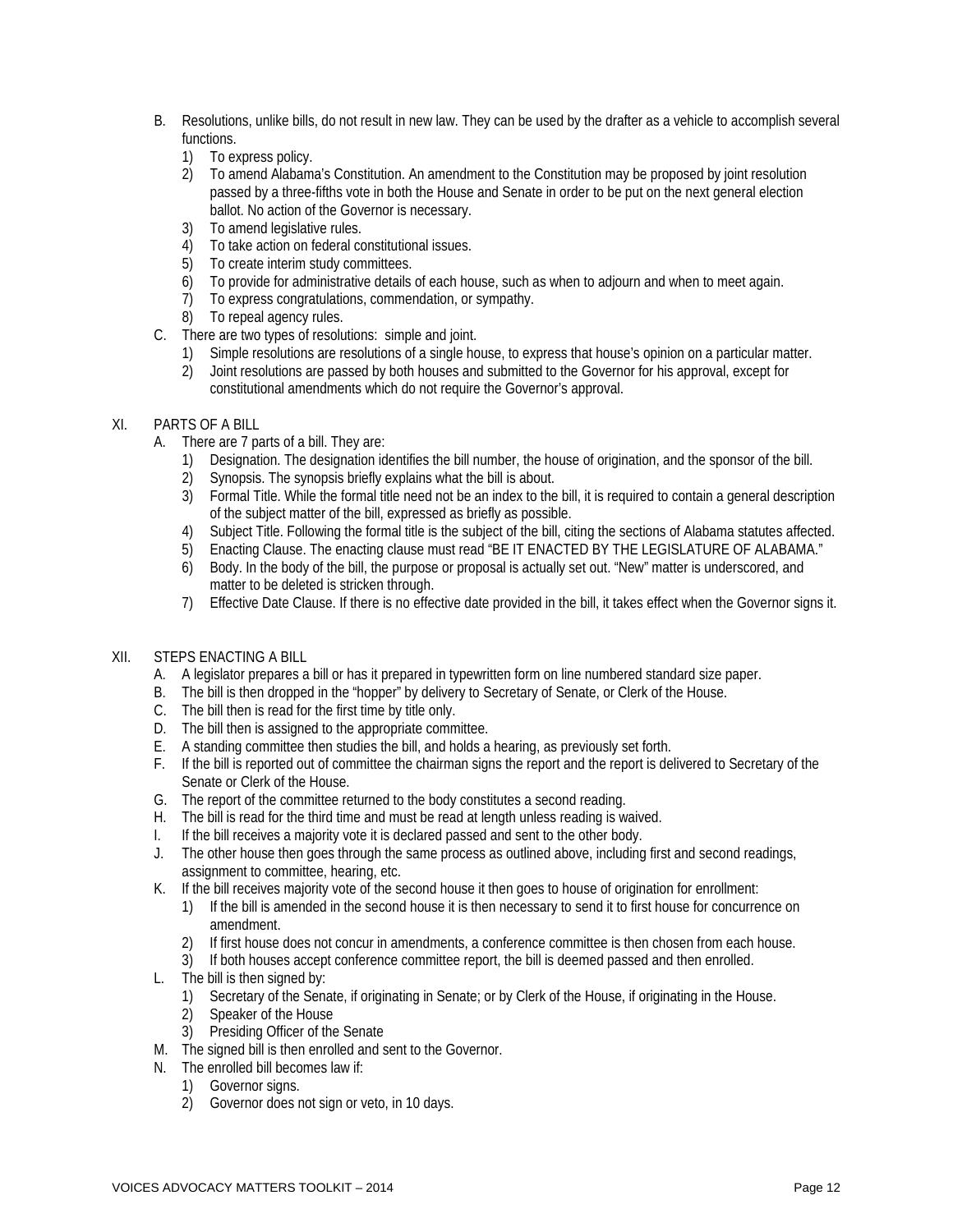- B. Resolutions, unlike bills, do not result in new law. They can be used by the drafter as a vehicle to accomplish several functions.
	- 1) To express policy.
	- 2) To amend Alabama's Constitution. An amendment to the Constitution may be proposed by joint resolution passed by a three-fifths vote in both the House and Senate in order to be put on the next general election ballot. No action of the Governor is necessary.
	- 3) To amend legislative rules.
	- 4) To take action on federal constitutional issues.
	- 5) To create interim study committees.
	- 6) To provide for administrative details of each house, such as when to adjourn and when to meet again.
	- 7) To express congratulations, commendation, or sympathy.
	- 8) To repeal agency rules.
- C. There are two types of resolutions: simple and joint.
	- 1) Simple resolutions are resolutions of a single house, to express that house's opinion on a particular matter.
	- 2) Joint resolutions are passed by both houses and submitted to the Governor for his approval, except for constitutional amendments which do not require the Governor's approval.

#### XI. PARTS OF A BILL

- A. There are 7 parts of a bill. They are:
	- 1) Designation. The designation identifies the bill number, the house of origination, and the sponsor of the bill.
	- 2) Synopsis. The synopsis briefly explains what the bill is about.
	- 3) Formal Title. While the formal title need not be an index to the bill, it is required to contain a general description of the subject matter of the bill, expressed as briefly as possible.
	- 4) Subject Title. Following the formal title is the subject of the bill, citing the sections of Alabama statutes affected.
	- 5) Enacting Clause. The enacting clause must read "BE IT ENACTED BY THE LEGISLATURE OF ALABAMA."
	- 6) Body. In the body of the bill, the purpose or proposal is actually set out. "New" matter is underscored, and matter to be deleted is stricken through.
	- 7) Effective Date Clause. If there is no effective date provided in the bill, it takes effect when the Governor signs it.

#### XII. STEPS ENACTING A BILL

- A. A legislator prepares a bill or has it prepared in typewritten form on line numbered standard size paper.
- B. The bill is then dropped in the "hopper" by delivery to Secretary of Senate, or Clerk of the House.
- C. The bill then is read for the first time by title only.
- D. The bill then is assigned to the appropriate committee.
- E. A standing committee then studies the bill, and holds a hearing, as previously set forth.
- F. If the bill is reported out of committee the chairman signs the report and the report is delivered to Secretary of the Senate or Clerk of the House.
- G. The report of the committee returned to the body constitutes a second reading.
- H. The bill is read for the third time and must be read at length unless reading is waived.
- I. If the bill receives a majority vote it is declared passed and sent to the other body.
- J. The other house then goes through the same process as outlined above, including first and second readings, assignment to committee, hearing, etc.
- K. If the bill receives majority vote of the second house it then goes to house of origination for enrollment:
	- 1) If the bill is amended in the second house it is then necessary to send it to first house for concurrence on amendment.
	- 2) If first house does not concur in amendments, a conference committee is then chosen from each house.
	- 3) If both houses accept conference committee report, the bill is deemed passed and then enrolled.
- L. The bill is then signed by:
	- 1) Secretary of the Senate, if originating in Senate; or by Clerk of the House, if originating in the House.
	- 2) Speaker of the House
	- 3) Presiding Officer of the Senate
- M. The signed bill is then enrolled and sent to the Governor.
- N. The enrolled bill becomes law if:
	- 1) Governor signs.
	- 2) Governor does not sign or veto, in 10 days.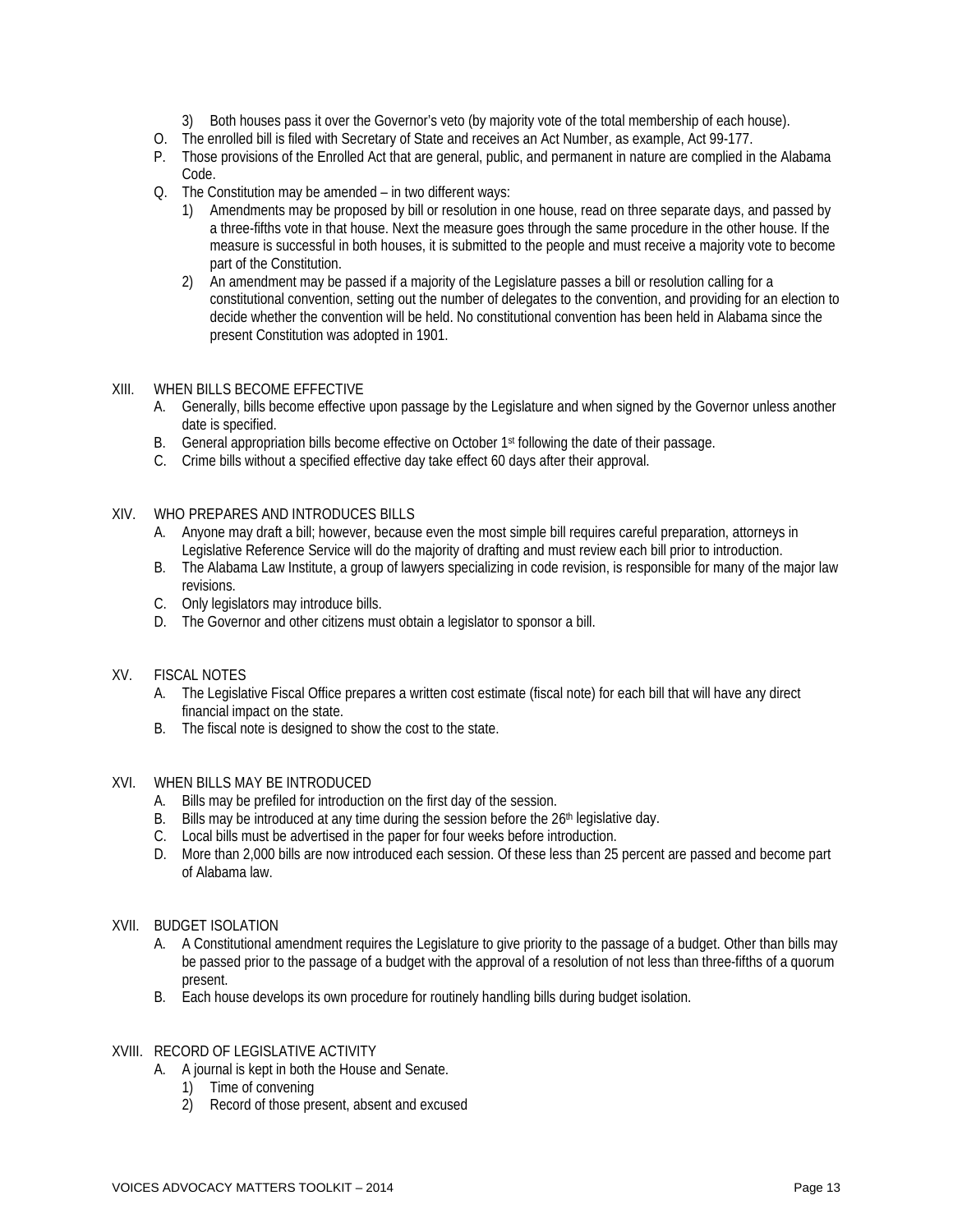- 3) Both houses pass it over the Governor's veto (by majority vote of the total membership of each house).
- O. The enrolled bill is filed with Secretary of State and receives an Act Number, as example, Act 99-177.
- P. Those provisions of the Enrolled Act that are general, public, and permanent in nature are complied in the Alabama Code.
- Q. The Constitution may be amended in two different ways:
	- 1) Amendments may be proposed by bill or resolution in one house, read on three separate days, and passed by a three-fifths vote in that house. Next the measure goes through the same procedure in the other house. If the measure is successful in both houses, it is submitted to the people and must receive a majority vote to become part of the Constitution.
	- 2) An amendment may be passed if a majority of the Legislature passes a bill or resolution calling for a constitutional convention, setting out the number of delegates to the convention, and providing for an election to decide whether the convention will be held. No constitutional convention has been held in Alabama since the present Constitution was adopted in 1901.

#### XIII. WHEN BILLS BECOME EFFECTIVE

- A. Generally, bills become effective upon passage by the Legislature and when signed by the Governor unless another date is specified.
- B. General appropriation bills become effective on October 1st following the date of their passage.
- C. Crime bills without a specified effective day take effect 60 days after their approval.

#### XIV. WHO PREPARES AND INTRODUCES BILLS

- A. Anyone may draft a bill; however, because even the most simple bill requires careful preparation, attorneys in Legislative Reference Service will do the majority of drafting and must review each bill prior to introduction.
- B. The Alabama Law Institute, a group of lawyers specializing in code revision, is responsible for many of the major law revisions.
- C. Only legislators may introduce bills.
- D. The Governor and other citizens must obtain a legislator to sponsor a bill.

#### XV. FISCAL NOTES

- A. The Legislative Fiscal Office prepares a written cost estimate (fiscal note) for each bill that will have any direct financial impact on the state.
- B. The fiscal note is designed to show the cost to the state.

#### XVI. WHEN BILLS MAY BE INTRODUCED

- A. Bills may be prefiled for introduction on the first day of the session.
- B. Bills may be introduced at any time during the session before the 26<sup>th</sup> legislative day.
- C. Local bills must be advertised in the paper for four weeks before introduction.
- D. More than 2,000 bills are now introduced each session. Of these less than 25 percent are passed and become part of Alabama law.

#### XVII. BUDGET ISOLATION

- A. A Constitutional amendment requires the Legislature to give priority to the passage of a budget. Other than bills may be passed prior to the passage of a budget with the approval of a resolution of not less than three-fifths of a quorum present.
- B. Each house develops its own procedure for routinely handling bills during budget isolation.

#### XVIII. RECORD OF LEGISLATIVE ACTIVITY

- A. A journal is kept in both the House and Senate.
	- 1) Time of convening
	- 2) Record of those present, absent and excused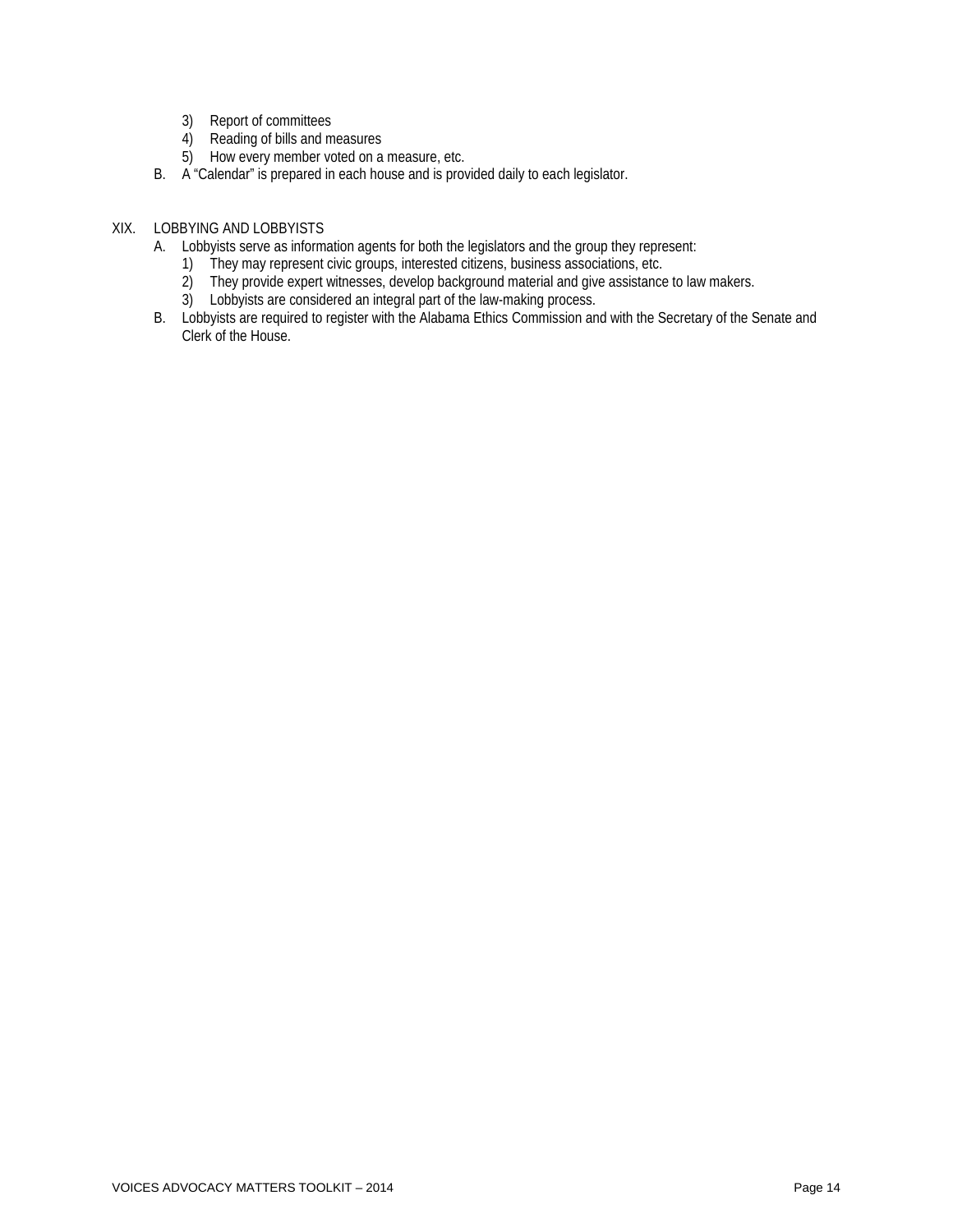- 3) Report of committees
- 4) Reading of bills and measures
- 5) How every member voted on a measure, etc.
- B. A "Calendar" is prepared in each house and is provided daily to each legislator.

#### XIX. LOBBYING AND LOBBYISTS

- A. Lobbyists serve as information agents for both the legislators and the group they represent:
	- 1) They may represent civic groups, interested citizens, business associations, etc.
	- 2) They provide expert witnesses, develop background material and give assistance to law makers.
	- 3) Lobbyists are considered an integral part of the law-making process.
- B. Lobbyists are required to register with the Alabama Ethics Commission and with the Secretary of the Senate and Clerk of the House.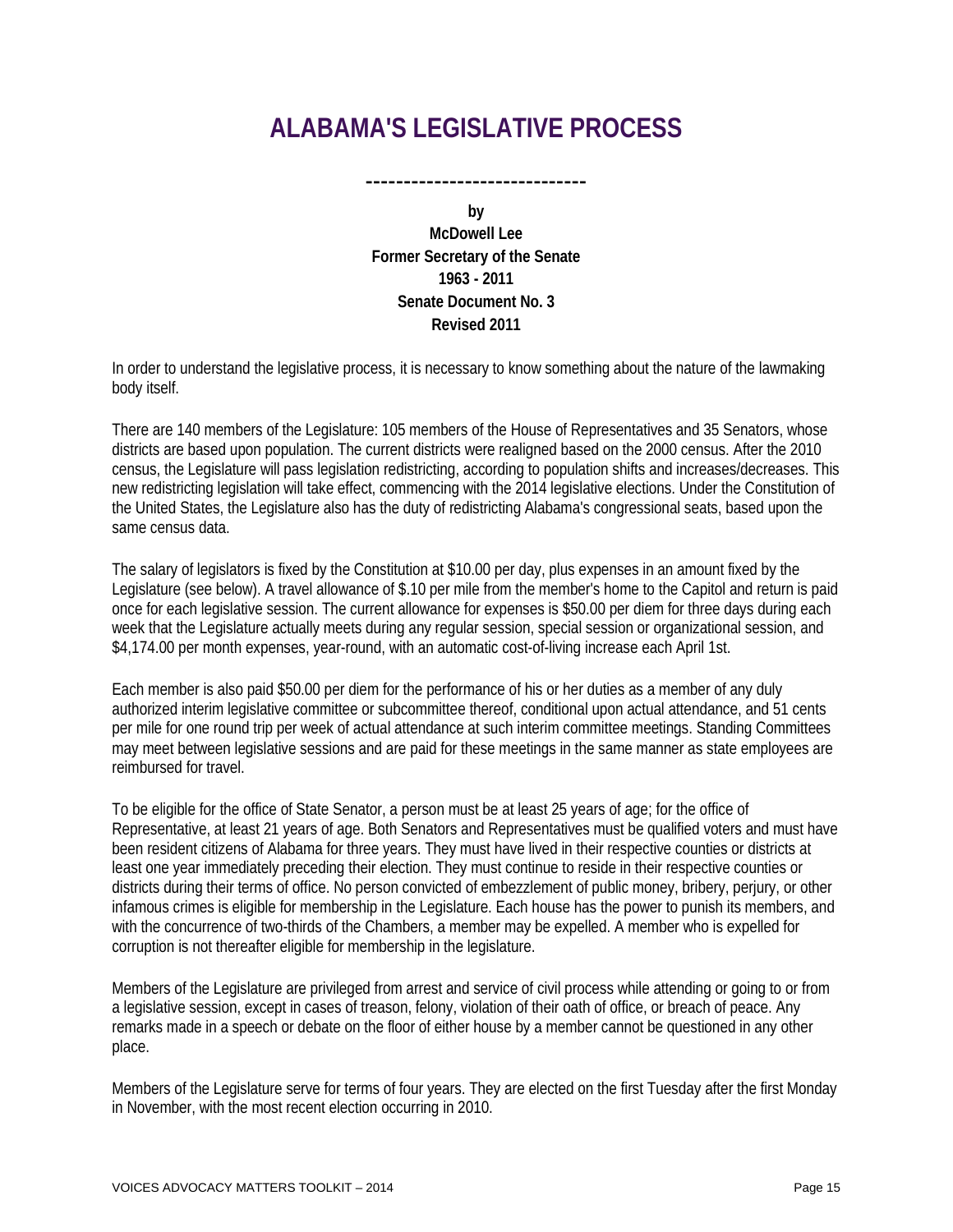# **ALABAMA'S LEGISLATIVE PROCESS**

-----------------------------

**by McDowell Lee Former Secretary of the Senate 1963 - 2011 Senate Document No. 3 Revised 2011**

In order to understand the legislative process, it is necessary to know something about the nature of the lawmaking body itself.

There are 140 members of the Legislature: 105 members of the House of Representatives and 35 Senators, whose districts are based upon population. The current districts were realigned based on the 2000 census. After the 2010 census, the Legislature will pass legislation redistricting, according to population shifts and increases/decreases. This new redistricting legislation will take effect, commencing with the 2014 legislative elections. Under the Constitution of the United States, the Legislature also has the duty of redistricting Alabama's congressional seats, based upon the same census data.

The salary of legislators is fixed by the Constitution at \$10.00 per day, plus expenses in an amount fixed by the Legislature (see below). A travel allowance of \$.10 per mile from the member's home to the Capitol and return is paid once for each legislative session. The current allowance for expenses is \$50.00 per diem for three days during each week that the Legislature actually meets during any regular session, special session or organizational session, and \$4,174.00 per month expenses, year-round, with an automatic cost-of-living increase each April 1st.

Each member is also paid \$50.00 per diem for the performance of his or her duties as a member of any duly authorized interim legislative committee or subcommittee thereof, conditional upon actual attendance, and 51 cents per mile for one round trip per week of actual attendance at such interim committee meetings. Standing Committees may meet between legislative sessions and are paid for these meetings in the same manner as state employees are reimbursed for travel.

To be eligible for the office of State Senator, a person must be at least 25 years of age; for the office of Representative, at least 21 years of age. Both Senators and Representatives must be qualified voters and must have been resident citizens of Alabama for three years. They must have lived in their respective counties or districts at least one year immediately preceding their election. They must continue to reside in their respective counties or districts during their terms of office. No person convicted of embezzlement of public money, bribery, perjury, or other infamous crimes is eligible for membership in the Legislature. Each house has the power to punish its members, and with the concurrence of two-thirds of the Chambers, a member may be expelled. A member who is expelled for corruption is not thereafter eligible for membership in the legislature.

Members of the Legislature are privileged from arrest and service of civil process while attending or going to or from a legislative session, except in cases of treason, felony, violation of their oath of office, or breach of peace. Any remarks made in a speech or debate on the floor of either house by a member cannot be questioned in any other place.

Members of the Legislature serve for terms of four years. They are elected on the first Tuesday after the first Monday in November, with the most recent election occurring in 2010.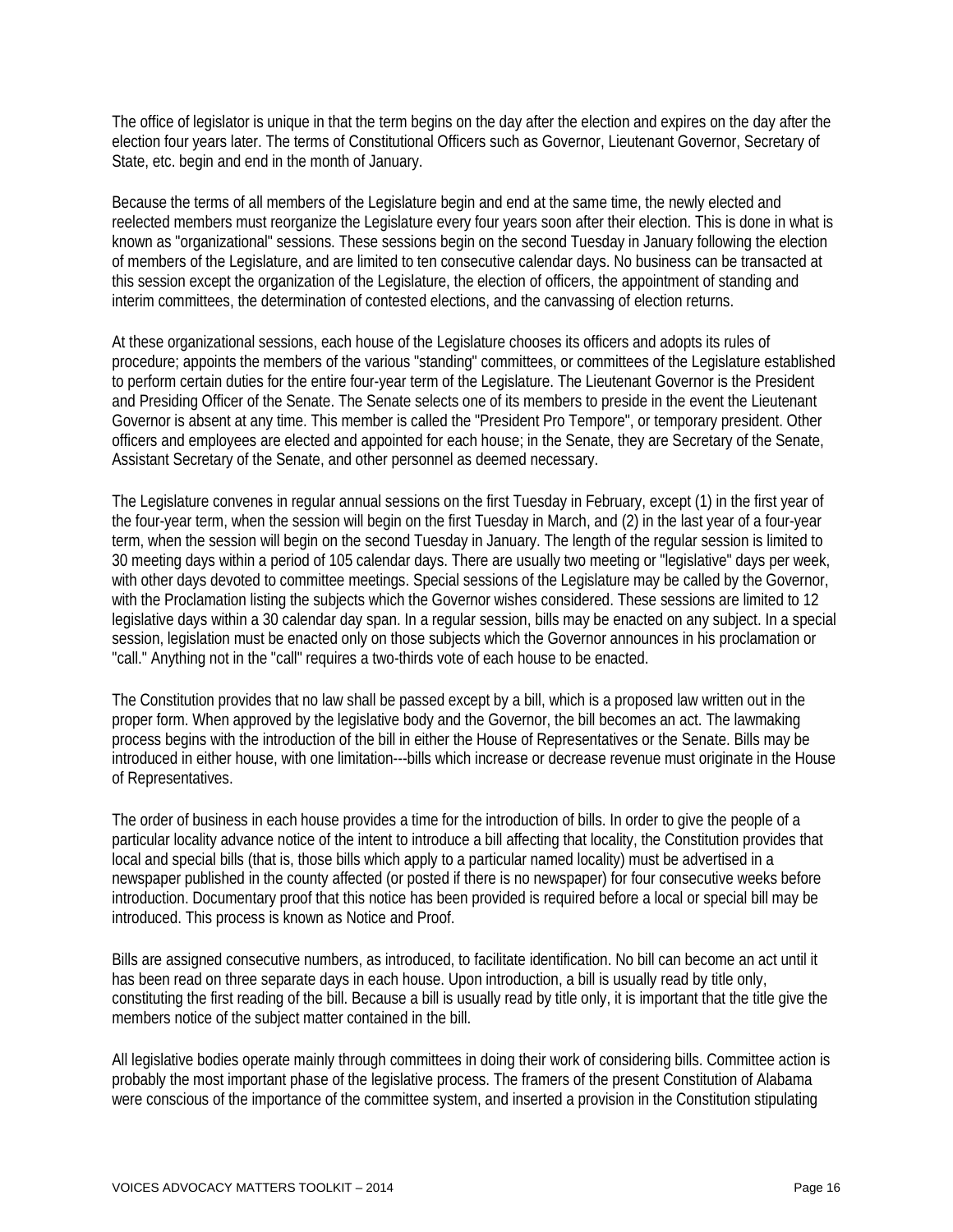The office of legislator is unique in that the term begins on the day after the election and expires on the day after the election four years later. The terms of Constitutional Officers such as Governor, Lieutenant Governor, Secretary of State, etc. begin and end in the month of January.

Because the terms of all members of the Legislature begin and end at the same time, the newly elected and reelected members must reorganize the Legislature every four years soon after their election. This is done in what is known as "organizational" sessions. These sessions begin on the second Tuesday in January following the election of members of the Legislature, and are limited to ten consecutive calendar days. No business can be transacted at this session except the organization of the Legislature, the election of officers, the appointment of standing and interim committees, the determination of contested elections, and the canvassing of election returns.

At these organizational sessions, each house of the Legislature chooses its officers and adopts its rules of procedure; appoints the members of the various "standing" committees, or committees of the Legislature established to perform certain duties for the entire four-year term of the Legislature. The Lieutenant Governor is the President and Presiding Officer of the Senate. The Senate selects one of its members to preside in the event the Lieutenant Governor is absent at any time. This member is called the "President Pro Tempore", or temporary president. Other officers and employees are elected and appointed for each house; in the Senate, they are Secretary of the Senate, Assistant Secretary of the Senate, and other personnel as deemed necessary.

The Legislature convenes in regular annual sessions on the first Tuesday in February, except (1) in the first year of the four-year term, when the session will begin on the first Tuesday in March, and (2) in the last year of a four-year term, when the session will begin on the second Tuesday in January. The length of the regular session is limited to 30 meeting days within a period of 105 calendar days. There are usually two meeting or "legislative" days per week, with other days devoted to committee meetings. Special sessions of the Legislature may be called by the Governor, with the Proclamation listing the subjects which the Governor wishes considered. These sessions are limited to 12 legislative days within a 30 calendar day span. In a regular session, bills may be enacted on any subject. In a special session, legislation must be enacted only on those subjects which the Governor announces in his proclamation or "call." Anything not in the "call" requires a two-thirds vote of each house to be enacted.

The Constitution provides that no law shall be passed except by a bill, which is a proposed law written out in the proper form. When approved by the legislative body and the Governor, the bill becomes an act. The lawmaking process begins with the introduction of the bill in either the House of Representatives or the Senate. Bills may be introduced in either house, with one limitation---bills which increase or decrease revenue must originate in the House of Representatives.

The order of business in each house provides a time for the introduction of bills. In order to give the people of a particular locality advance notice of the intent to introduce a bill affecting that locality, the Constitution provides that local and special bills (that is, those bills which apply to a particular named locality) must be advertised in a newspaper published in the county affected (or posted if there is no newspaper) for four consecutive weeks before introduction. Documentary proof that this notice has been provided is required before a local or special bill may be introduced. This process is known as Notice and Proof.

Bills are assigned consecutive numbers, as introduced, to facilitate identification. No bill can become an act until it has been read on three separate days in each house. Upon introduction, a bill is usually read by title only, constituting the first reading of the bill. Because a bill is usually read by title only, it is important that the title give the members notice of the subject matter contained in the bill.

All legislative bodies operate mainly through committees in doing their work of considering bills. Committee action is probably the most important phase of the legislative process. The framers of the present Constitution of Alabama were conscious of the importance of the committee system, and inserted a provision in the Constitution stipulating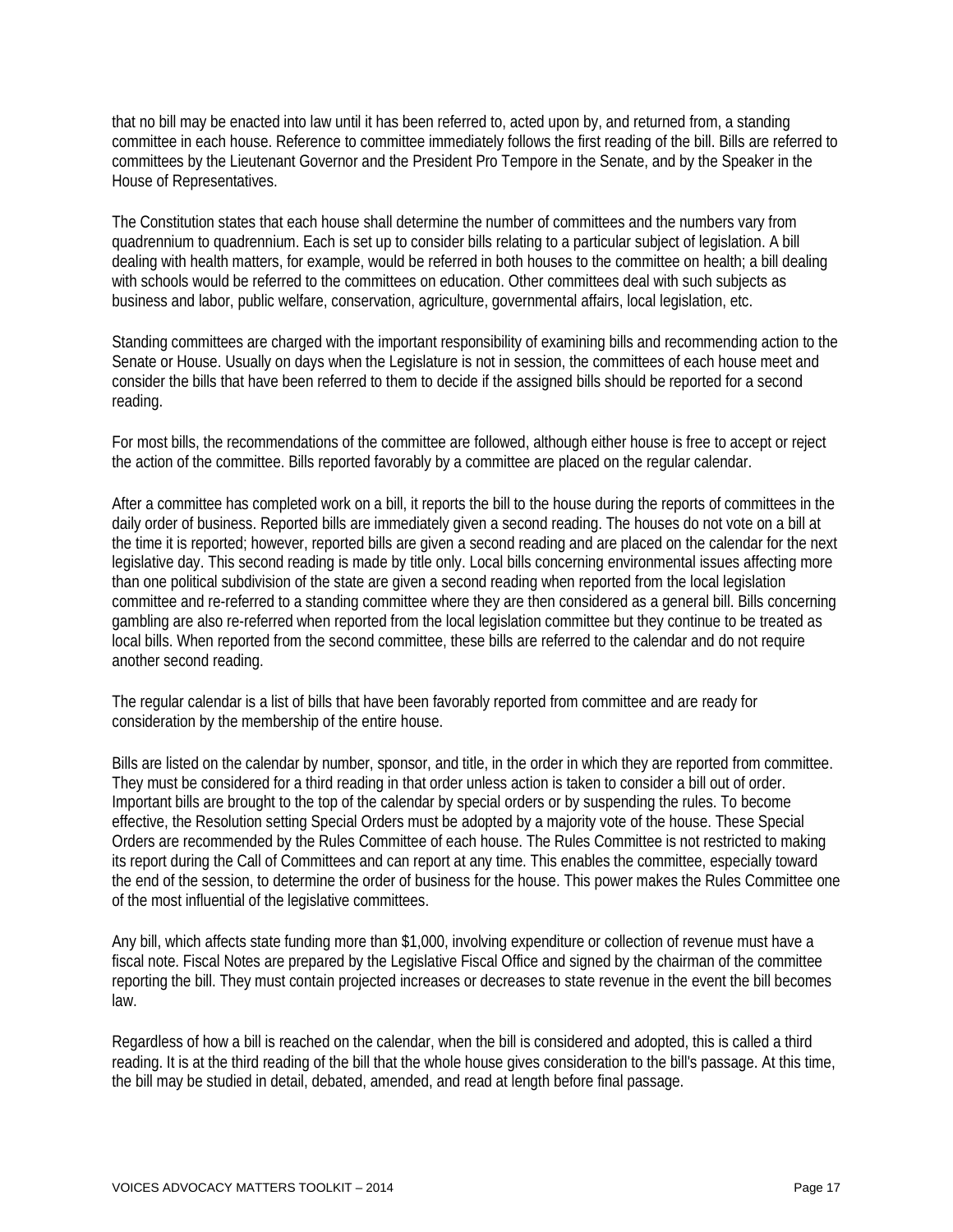that no bill may be enacted into law until it has been referred to, acted upon by, and returned from, a standing committee in each house. Reference to committee immediately follows the first reading of the bill. Bills are referred to committees by the Lieutenant Governor and the President Pro Tempore in the Senate, and by the Speaker in the House of Representatives.

The Constitution states that each house shall determine the number of committees and the numbers vary from quadrennium to quadrennium. Each is set up to consider bills relating to a particular subject of legislation. A bill dealing with health matters, for example, would be referred in both houses to the committee on health; a bill dealing with schools would be referred to the committees on education. Other committees deal with such subjects as business and labor, public welfare, conservation, agriculture, governmental affairs, local legislation, etc.

Standing committees are charged with the important responsibility of examining bills and recommending action to the Senate or House. Usually on days when the Legislature is not in session, the committees of each house meet and consider the bills that have been referred to them to decide if the assigned bills should be reported for a second reading.

For most bills, the recommendations of the committee are followed, although either house is free to accept or reject the action of the committee. Bills reported favorably by a committee are placed on the regular calendar.

After a committee has completed work on a bill, it reports the bill to the house during the reports of committees in the daily order of business. Reported bills are immediately given a second reading. The houses do not vote on a bill at the time it is reported; however, reported bills are given a second reading and are placed on the calendar for the next legislative day. This second reading is made by title only. Local bills concerning environmental issues affecting more than one political subdivision of the state are given a second reading when reported from the local legislation committee and re-referred to a standing committee where they are then considered as a general bill. Bills concerning gambling are also re-referred when reported from the local legislation committee but they continue to be treated as local bills. When reported from the second committee, these bills are referred to the calendar and do not require another second reading.

The regular calendar is a list of bills that have been favorably reported from committee and are ready for consideration by the membership of the entire house.

Bills are listed on the calendar by number, sponsor, and title, in the order in which they are reported from committee. They must be considered for a third reading in that order unless action is taken to consider a bill out of order. Important bills are brought to the top of the calendar by special orders or by suspending the rules. To become effective, the Resolution setting Special Orders must be adopted by a majority vote of the house. These Special Orders are recommended by the Rules Committee of each house. The Rules Committee is not restricted to making its report during the Call of Committees and can report at any time. This enables the committee, especially toward the end of the session, to determine the order of business for the house. This power makes the Rules Committee one of the most influential of the legislative committees.

Any bill, which affects state funding more than \$1,000, involving expenditure or collection of revenue must have a fiscal note. Fiscal Notes are prepared by the Legislative Fiscal Office and signed by the chairman of the committee reporting the bill. They must contain projected increases or decreases to state revenue in the event the bill becomes law.

Regardless of how a bill is reached on the calendar, when the bill is considered and adopted, this is called a third reading. It is at the third reading of the bill that the whole house gives consideration to the bill's passage. At this time, the bill may be studied in detail, debated, amended, and read at length before final passage.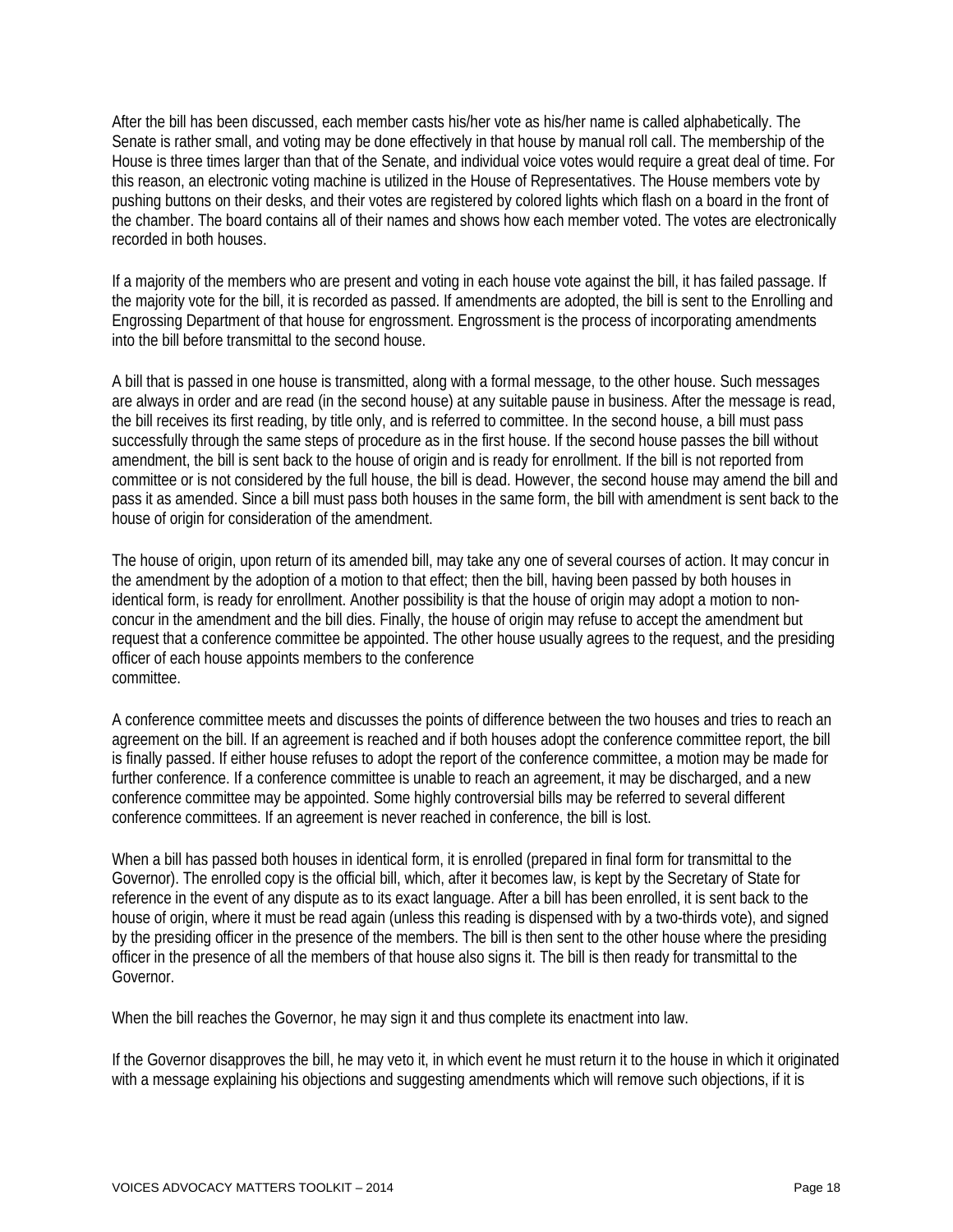After the bill has been discussed, each member casts his/her vote as his/her name is called alphabetically. The Senate is rather small, and voting may be done effectively in that house by manual roll call. The membership of the House is three times larger than that of the Senate, and individual voice votes would require a great deal of time. For this reason, an electronic voting machine is utilized in the House of Representatives. The House members vote by pushing buttons on their desks, and their votes are registered by colored lights which flash on a board in the front of the chamber. The board contains all of their names and shows how each member voted. The votes are electronically recorded in both houses.

If a majority of the members who are present and voting in each house vote against the bill, it has failed passage. If the majority vote for the bill, it is recorded as passed. If amendments are adopted, the bill is sent to the Enrolling and Engrossing Department of that house for engrossment. Engrossment is the process of incorporating amendments into the bill before transmittal to the second house.

A bill that is passed in one house is transmitted, along with a formal message, to the other house. Such messages are always in order and are read (in the second house) at any suitable pause in business. After the message is read, the bill receives its first reading, by title only, and is referred to committee. In the second house, a bill must pass successfully through the same steps of procedure as in the first house. If the second house passes the bill without amendment, the bill is sent back to the house of origin and is ready for enrollment. If the bill is not reported from committee or is not considered by the full house, the bill is dead. However, the second house may amend the bill and pass it as amended. Since a bill must pass both houses in the same form, the bill with amendment is sent back to the house of origin for consideration of the amendment.

The house of origin, upon return of its amended bill, may take any one of several courses of action. It may concur in the amendment by the adoption of a motion to that effect; then the bill, having been passed by both houses in identical form, is ready for enrollment. Another possibility is that the house of origin may adopt a motion to nonconcur in the amendment and the bill dies. Finally, the house of origin may refuse to accept the amendment but request that a conference committee be appointed. The other house usually agrees to the request, and the presiding officer of each house appoints members to the conference committee.

A conference committee meets and discusses the points of difference between the two houses and tries to reach an agreement on the bill. If an agreement is reached and if both houses adopt the conference committee report, the bill is finally passed. If either house refuses to adopt the report of the conference committee, a motion may be made for further conference. If a conference committee is unable to reach an agreement, it may be discharged, and a new conference committee may be appointed. Some highly controversial bills may be referred to several different conference committees. If an agreement is never reached in conference, the bill is lost.

When a bill has passed both houses in identical form, it is enrolled (prepared in final form for transmittal to the Governor). The enrolled copy is the official bill, which, after it becomes law, is kept by the Secretary of State for reference in the event of any dispute as to its exact language. After a bill has been enrolled, it is sent back to the house of origin, where it must be read again (unless this reading is dispensed with by a two-thirds vote), and signed by the presiding officer in the presence of the members. The bill is then sent to the other house where the presiding officer in the presence of all the members of that house also signs it. The bill is then ready for transmittal to the Governor.

When the bill reaches the Governor, he may sign it and thus complete its enactment into law.

If the Governor disapproves the bill, he may veto it, in which event he must return it to the house in which it originated with a message explaining his objections and suggesting amendments which will remove such objections, if it is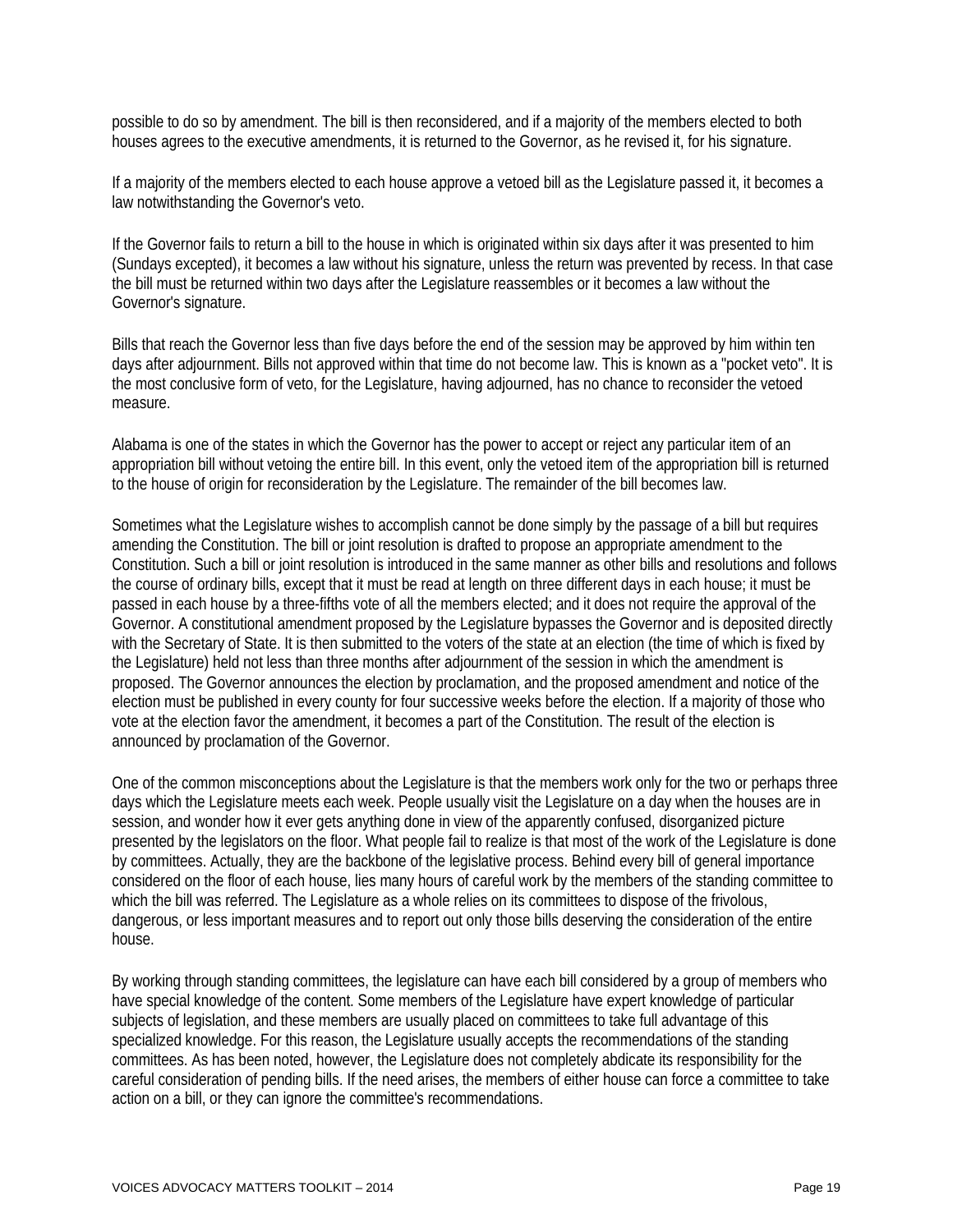possible to do so by amendment. The bill is then reconsidered, and if a majority of the members elected to both houses agrees to the executive amendments, it is returned to the Governor, as he revised it, for his signature.

If a majority of the members elected to each house approve a vetoed bill as the Legislature passed it, it becomes a law notwithstanding the Governor's veto.

If the Governor fails to return a bill to the house in which is originated within six days after it was presented to him (Sundays excepted), it becomes a law without his signature, unless the return was prevented by recess. In that case the bill must be returned within two days after the Legislature reassembles or it becomes a law without the Governor's signature.

Bills that reach the Governor less than five days before the end of the session may be approved by him within ten days after adjournment. Bills not approved within that time do not become law. This is known as a "pocket veto". It is the most conclusive form of veto, for the Legislature, having adjourned, has no chance to reconsider the vetoed measure.

Alabama is one of the states in which the Governor has the power to accept or reject any particular item of an appropriation bill without vetoing the entire bill. In this event, only the vetoed item of the appropriation bill is returned to the house of origin for reconsideration by the Legislature. The remainder of the bill becomes law.

Sometimes what the Legislature wishes to accomplish cannot be done simply by the passage of a bill but requires amending the Constitution. The bill or joint resolution is drafted to propose an appropriate amendment to the Constitution. Such a bill or joint resolution is introduced in the same manner as other bills and resolutions and follows the course of ordinary bills, except that it must be read at length on three different days in each house; it must be passed in each house by a three-fifths vote of all the members elected; and it does not require the approval of the Governor. A constitutional amendment proposed by the Legislature bypasses the Governor and is deposited directly with the Secretary of State. It is then submitted to the voters of the state at an election (the time of which is fixed by the Legislature) held not less than three months after adjournment of the session in which the amendment is proposed. The Governor announces the election by proclamation, and the proposed amendment and notice of the election must be published in every county for four successive weeks before the election. If a majority of those who vote at the election favor the amendment, it becomes a part of the Constitution. The result of the election is announced by proclamation of the Governor.

One of the common misconceptions about the Legislature is that the members work only for the two or perhaps three days which the Legislature meets each week. People usually visit the Legislature on a day when the houses are in session, and wonder how it ever gets anything done in view of the apparently confused, disorganized picture presented by the legislators on the floor. What people fail to realize is that most of the work of the Legislature is done by committees. Actually, they are the backbone of the legislative process. Behind every bill of general importance considered on the floor of each house, lies many hours of careful work by the members of the standing committee to which the bill was referred. The Legislature as a whole relies on its committees to dispose of the frivolous, dangerous, or less important measures and to report out only those bills deserving the consideration of the entire house.

By working through standing committees, the legislature can have each bill considered by a group of members who have special knowledge of the content. Some members of the Legislature have expert knowledge of particular subjects of legislation, and these members are usually placed on committees to take full advantage of this specialized knowledge. For this reason, the Legislature usually accepts the recommendations of the standing committees. As has been noted, however, the Legislature does not completely abdicate its responsibility for the careful consideration of pending bills. If the need arises, the members of either house can force a committee to take action on a bill, or they can ignore the committee's recommendations.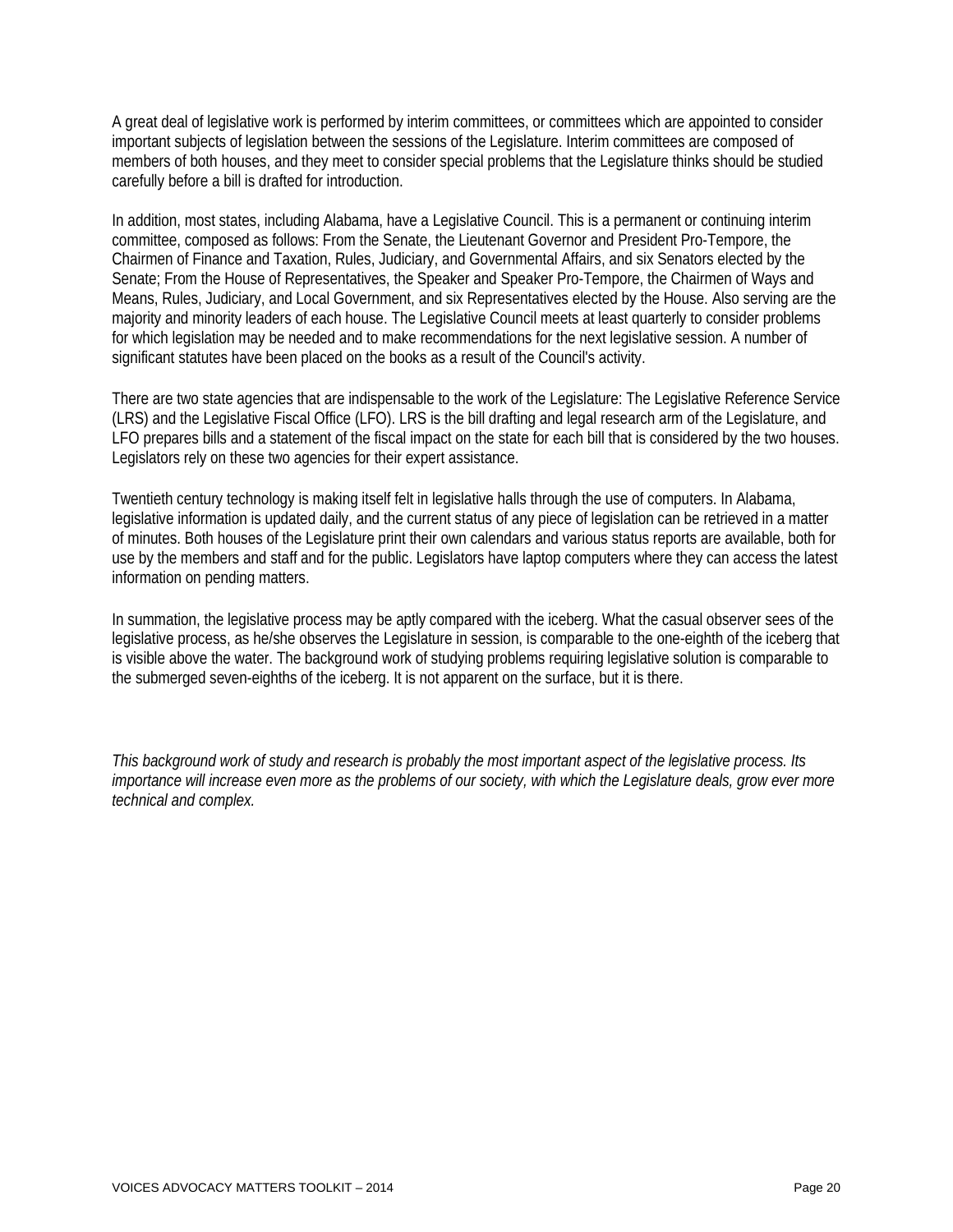A great deal of legislative work is performed by interim committees, or committees which are appointed to consider important subjects of legislation between the sessions of the Legislature. Interim committees are composed of members of both houses, and they meet to consider special problems that the Legislature thinks should be studied carefully before a bill is drafted for introduction.

In addition, most states, including Alabama, have a Legislative Council. This is a permanent or continuing interim committee, composed as follows: From the Senate, the Lieutenant Governor and President Pro-Tempore, the Chairmen of Finance and Taxation, Rules, Judiciary, and Governmental Affairs, and six Senators elected by the Senate; From the House of Representatives, the Speaker and Speaker Pro-Tempore, the Chairmen of Ways and Means, Rules, Judiciary, and Local Government, and six Representatives elected by the House. Also serving are the majority and minority leaders of each house. The Legislative Council meets at least quarterly to consider problems for which legislation may be needed and to make recommendations for the next legislative session. A number of significant statutes have been placed on the books as a result of the Council's activity.

There are two state agencies that are indispensable to the work of the Legislature: The Legislative Reference Service (LRS) and the Legislative Fiscal Office (LFO). LRS is the bill drafting and legal research arm of the Legislature, and LFO prepares bills and a statement of the fiscal impact on the state for each bill that is considered by the two houses. Legislators rely on these two agencies for their expert assistance.

Twentieth century technology is making itself felt in legislative halls through the use of computers. In Alabama, legislative information is updated daily, and the current status of any piece of legislation can be retrieved in a matter of minutes. Both houses of the Legislature print their own calendars and various status reports are available, both for use by the members and staff and for the public. Legislators have laptop computers where they can access the latest information on pending matters.

In summation, the legislative process may be aptly compared with the iceberg. What the casual observer sees of the legislative process, as he/she observes the Legislature in session, is comparable to the one-eighth of the iceberg that is visible above the water. The background work of studying problems requiring legislative solution is comparable to the submerged seven-eighths of the iceberg. It is not apparent on the surface, but it is there.

*This background work of study and research is probably the most important aspect of the legislative process. Its importance will increase even more as the problems of our society, with which the Legislature deals, grow ever more technical and complex.*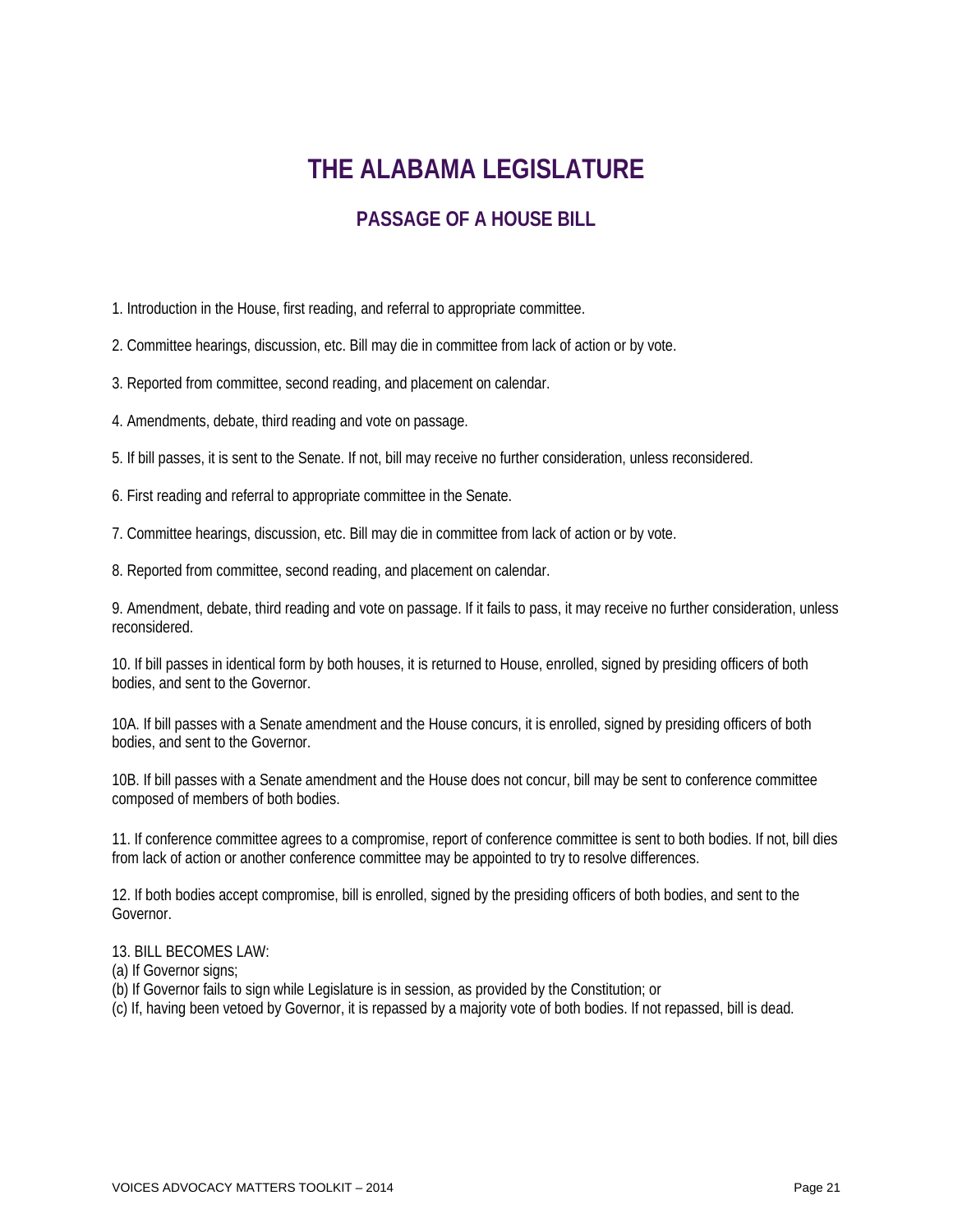# **THE ALABAMA LEGISLATURE**

## **PASSAGE OF A HOUSE BILL**

1. Introduction in the House, first reading, and referral to appropriate committee.

2. Committee hearings, discussion, etc. Bill may die in committee from lack of action or by vote.

3. Reported from committee, second reading, and placement on calendar.

4. Amendments, debate, third reading and vote on passage.

5. If bill passes, it is sent to the Senate. If not, bill may receive no further consideration, unless reconsidered.

6. First reading and referral to appropriate committee in the Senate.

7. Committee hearings, discussion, etc. Bill may die in committee from lack of action or by vote.

8. Reported from committee, second reading, and placement on calendar.

9. Amendment, debate, third reading and vote on passage. If it fails to pass, it may receive no further consideration, unless reconsidered.

10. If bill passes in identical form by both houses, it is returned to House, enrolled, signed by presiding officers of both bodies, and sent to the Governor.

10A. If bill passes with a Senate amendment and the House concurs, it is enrolled, signed by presiding officers of both bodies, and sent to the Governor.

10B. If bill passes with a Senate amendment and the House does not concur, bill may be sent to conference committee composed of members of both bodies.

11. If conference committee agrees to a compromise, report of conference committee is sent to both bodies. If not, bill dies from lack of action or another conference committee may be appointed to try to resolve differences.

12. If both bodies accept compromise, bill is enrolled, signed by the presiding officers of both bodies, and sent to the Governor.

#### 13. BILL BECOMES LAW:

(a) If Governor signs;

(b) If Governor fails to sign while Legislature is in session, as provided by the Constitution; or

(c) If, having been vetoed by Governor, it is repassed by a majority vote of both bodies. If not repassed, bill is dead.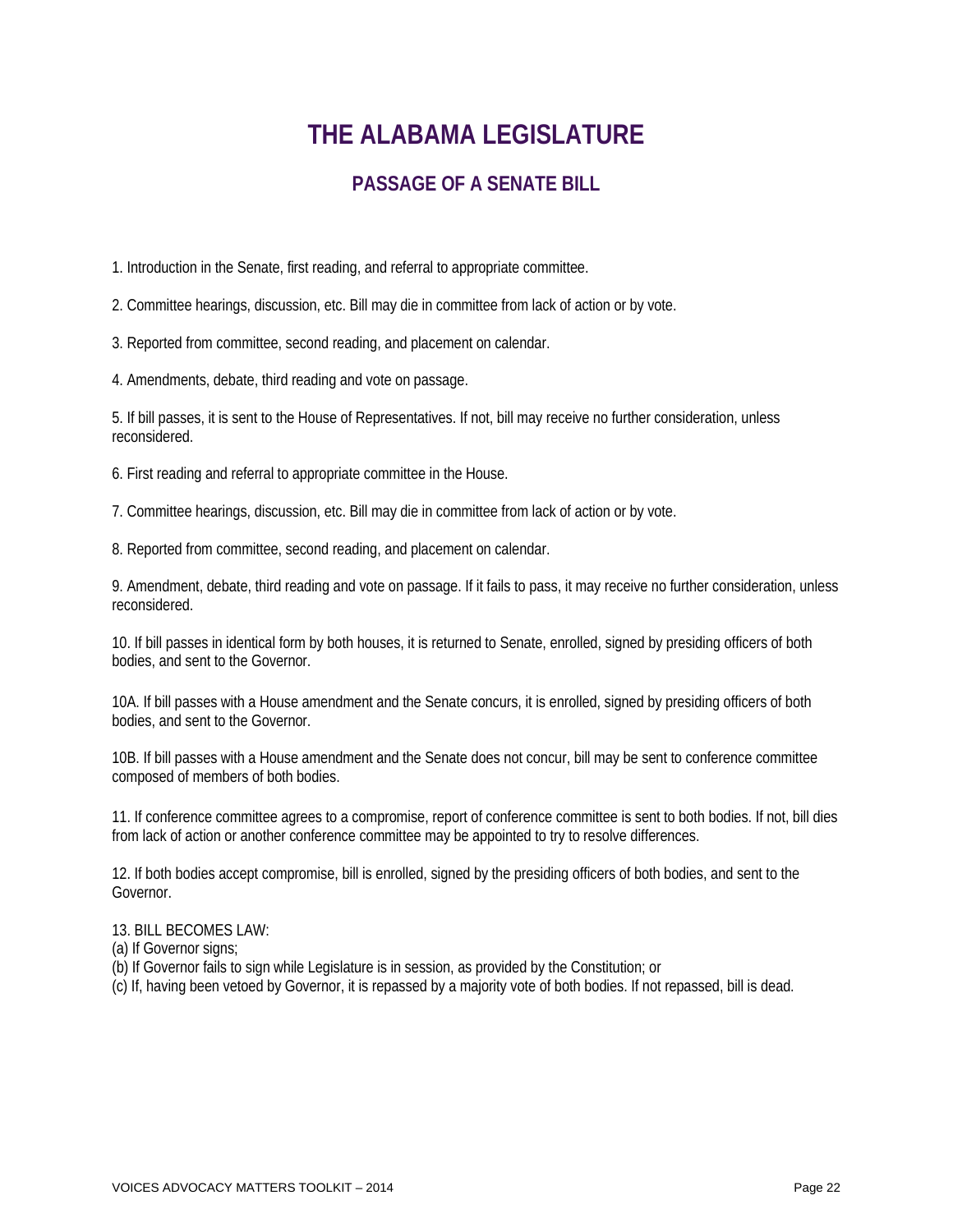# **THE ALABAMA LEGISLATURE**

## **PASSAGE OF A SENATE BILL**

1. Introduction in the Senate, first reading, and referral to appropriate committee.

2. Committee hearings, discussion, etc. Bill may die in committee from lack of action or by vote.

3. Reported from committee, second reading, and placement on calendar.

4. Amendments, debate, third reading and vote on passage.

5. If bill passes, it is sent to the House of Representatives. If not, bill may receive no further consideration, unless reconsidered.

6. First reading and referral to appropriate committee in the House.

7. Committee hearings, discussion, etc. Bill may die in committee from lack of action or by vote.

8. Reported from committee, second reading, and placement on calendar.

9. Amendment, debate, third reading and vote on passage. If it fails to pass, it may receive no further consideration, unless reconsidered.

10. If bill passes in identical form by both houses, it is returned to Senate, enrolled, signed by presiding officers of both bodies, and sent to the Governor.

10A. If bill passes with a House amendment and the Senate concurs, it is enrolled, signed by presiding officers of both bodies, and sent to the Governor.

10B. If bill passes with a House amendment and the Senate does not concur, bill may be sent to conference committee composed of members of both bodies.

11. If conference committee agrees to a compromise, report of conference committee is sent to both bodies. If not, bill dies from lack of action or another conference committee may be appointed to try to resolve differences.

12. If both bodies accept compromise, bill is enrolled, signed by the presiding officers of both bodies, and sent to the Governor.

13. BILL BECOMES LAW:

- (a) If Governor signs;
- (b) If Governor fails to sign while Legislature is in session, as provided by the Constitution; or
- (c) If, having been vetoed by Governor, it is repassed by a majority vote of both bodies. If not repassed, bill is dead.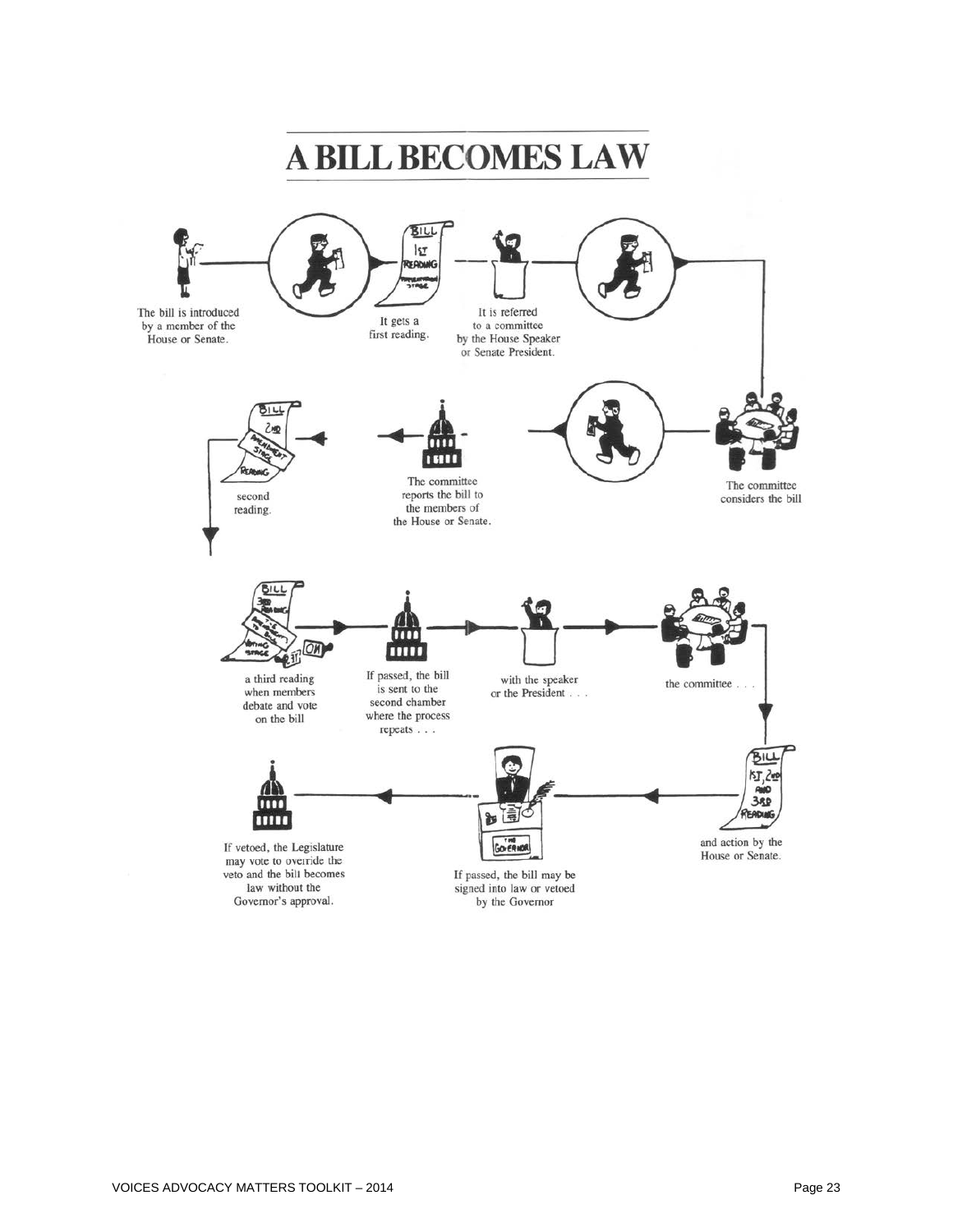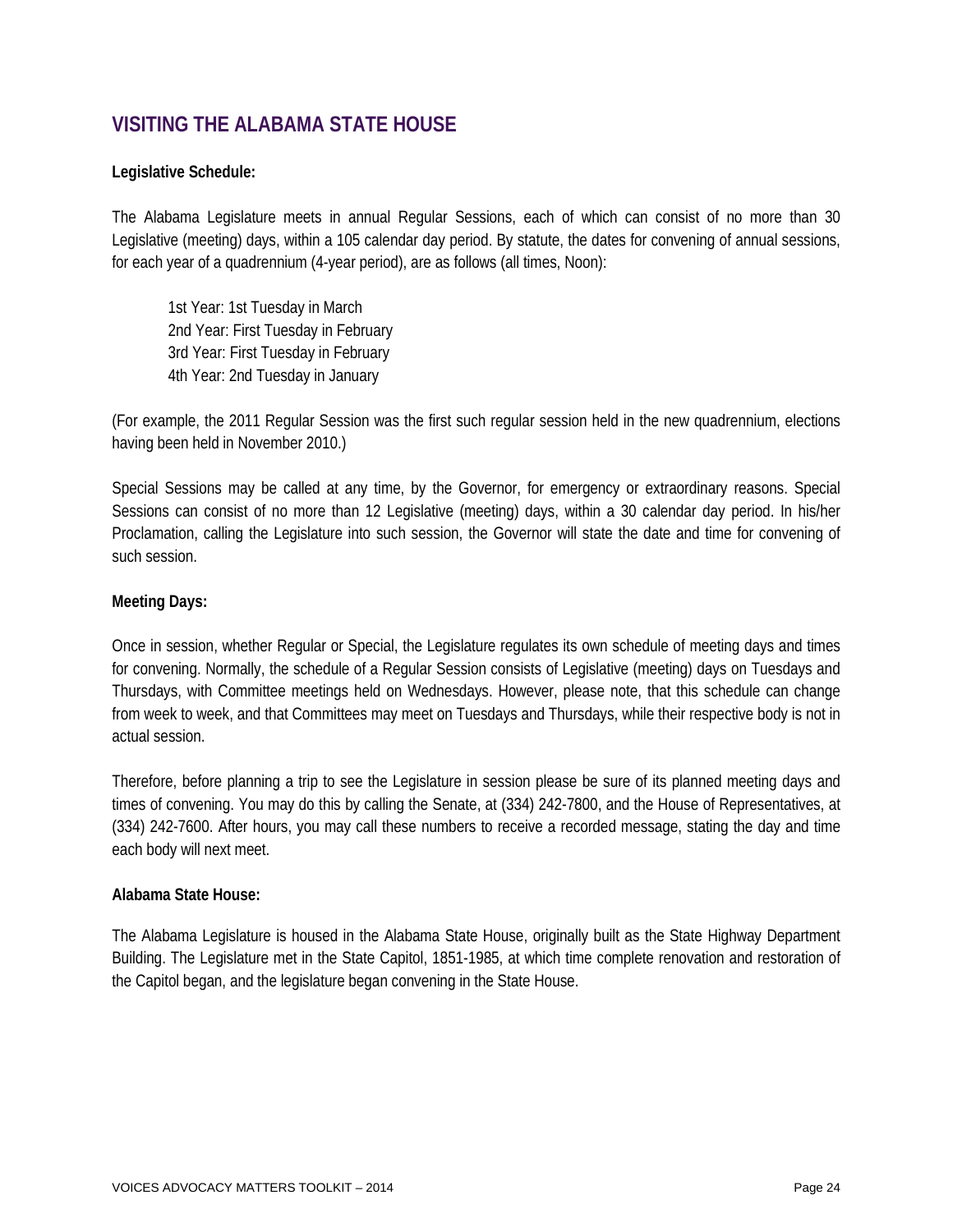# **VISITING THE ALABAMA STATE HOUSE**

#### **Legislative Schedule:**

The Alabama Legislature meets in annual Regular Sessions, each of which can consist of no more than 30 Legislative (meeting) days, within a 105 calendar day period. By statute, the dates for convening of annual sessions, for each year of a quadrennium (4-year period), are as follows (all times, Noon):

1st Year: 1st Tuesday in March 2nd Year: First Tuesday in February 3rd Year: First Tuesday in February 4th Year: 2nd Tuesday in January

(For example, the 2011 Regular Session was the first such regular session held in the new quadrennium, elections having been held in November 2010.)

Special Sessions may be called at any time, by the Governor, for emergency or extraordinary reasons. Special Sessions can consist of no more than 12 Legislative (meeting) days, within a 30 calendar day period. In his/her Proclamation, calling the Legislature into such session, the Governor will state the date and time for convening of such session.

#### **Meeting Days:**

Once in session, whether Regular or Special, the Legislature regulates its own schedule of meeting days and times for convening. Normally, the schedule of a Regular Session consists of Legislative (meeting) days on Tuesdays and Thursdays, with Committee meetings held on Wednesdays. However, please note, that this schedule can change from week to week, and that Committees may meet on Tuesdays and Thursdays, while their respective body is not in actual session.

Therefore, before planning a trip to see the Legislature in session please be sure of its planned meeting days and times of convening. You may do this by calling the Senate, at (334) 242-7800, and the House of Representatives, at (334) 242-7600. After hours, you may call these numbers to receive a recorded message, stating the day and time each body will next meet.

#### **Alabama State House:**

The Alabama Legislature is housed in the Alabama State House, originally built as the State Highway Department Building. The Legislature met in the State Capitol, 1851-1985, at which time complete renovation and restoration of the Capitol began, and the legislature began convening in the State House.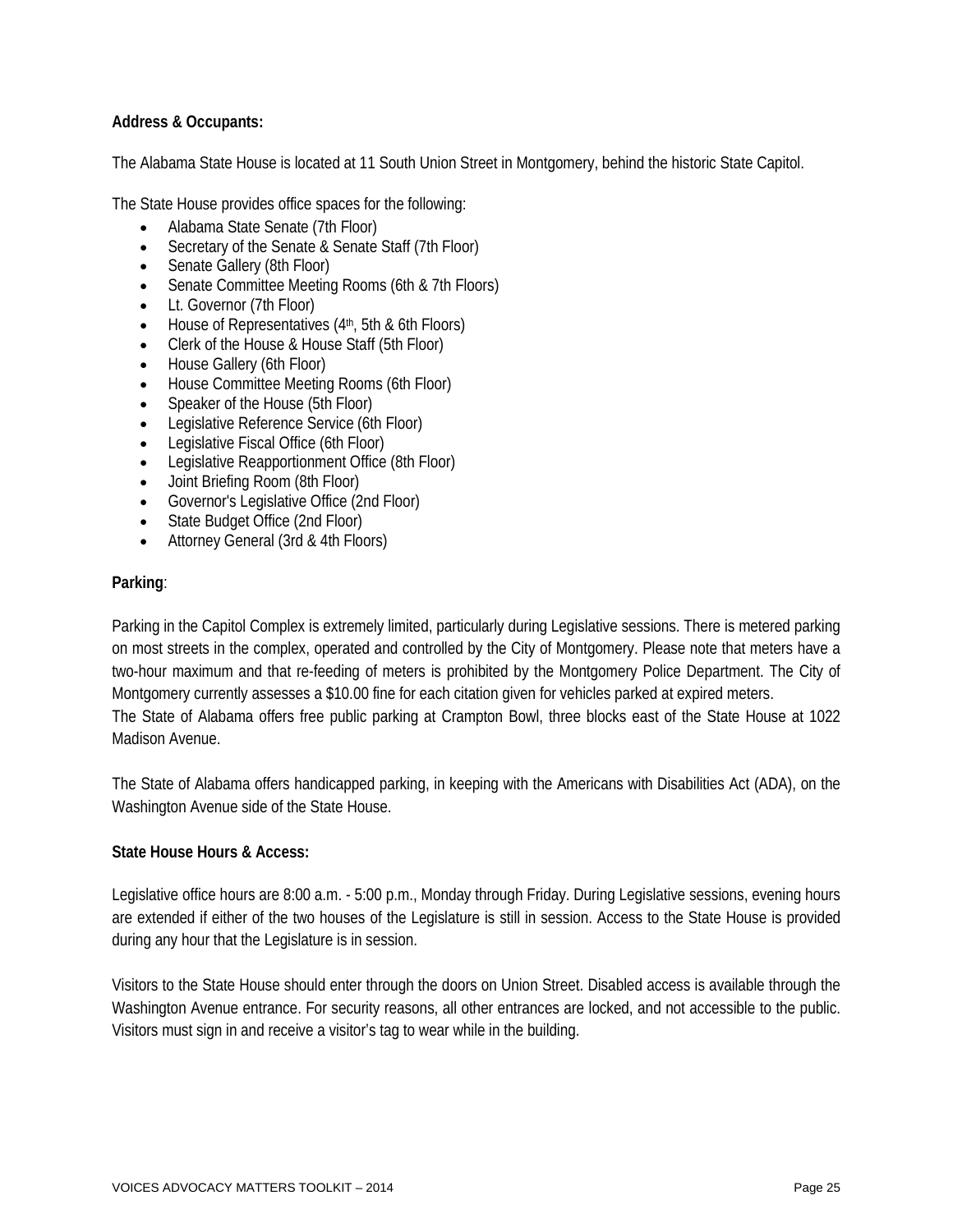#### **Address & Occupants:**

The Alabama State House is located at [11 South Union Street](http://www.legislature.state.al.us/misc/visitorsguide/downtownmap.html) in Montgomery, behind the historic State Capitol.

The State House provides office spaces for the following:

- Alabama State Senate (7th Floor)
- Secretary of the Senate & Senate Staff (7th Floor)
- Senate Gallery (8th Floor)
- Senate Committee Meeting Rooms (6th & 7th Floors)
- Lt. Governor (7th Floor)
- $\bullet$  House of Representatives ( $4<sup>th</sup>$ , 5th & 6th Floors)
- Clerk of the House & House Staff (5th Floor)
- House Gallery (6th Floor)
- House Committee Meeting Rooms (6th Floor)
- Speaker of the House (5th Floor)
- Legislative Reference Service (6th Floor)
- Legislative Fiscal Office (6th Floor)
- Legislative Reapportionment Office (8th Floor)
- Joint Briefing Room (8th Floor)
- Governor's Legislative Office (2nd Floor)
- State Budget Office (2nd Floor)
- Attorney General (3rd & 4th Floors)

#### **Parking**:

Parking in the Capitol Complex is extremely limited, particularly during Legislative sessions. There is metered parking on most streets in the complex, operated and controlled by the City of Montgomery. Please note that meters have a two-hour maximum and that re-feeding of meters is prohibited by the Montgomery Police Department. The City of Montgomery currently assesses a \$10.00 fine for each citation given for vehicles parked at expired meters. The State of Alabama offers free public parking at Crampton Bowl, three blocks east of the State House at 1022 Madison Avenue.

The State of Alabama offers handicapped parking, in keeping with the Americans with Disabilities Act (ADA), on the Washington Avenue side of the State House.

#### **State House Hours & Access:**

Legislative office hours are 8:00 a.m. - 5:00 p.m., Monday through Friday. During Legislative sessions, evening hours are extended if either of the two houses of the Legislature is still in session. Access to the State House is provided during any hour that the Legislature is in session.

Visitors to the State House should enter through the doors on Union Street. Disabled access is available through the Washington Avenue entrance. For security reasons, all other entrances are locked, and not accessible to the public. Visitors must sign in and receive a visitor's tag to wear while in the building.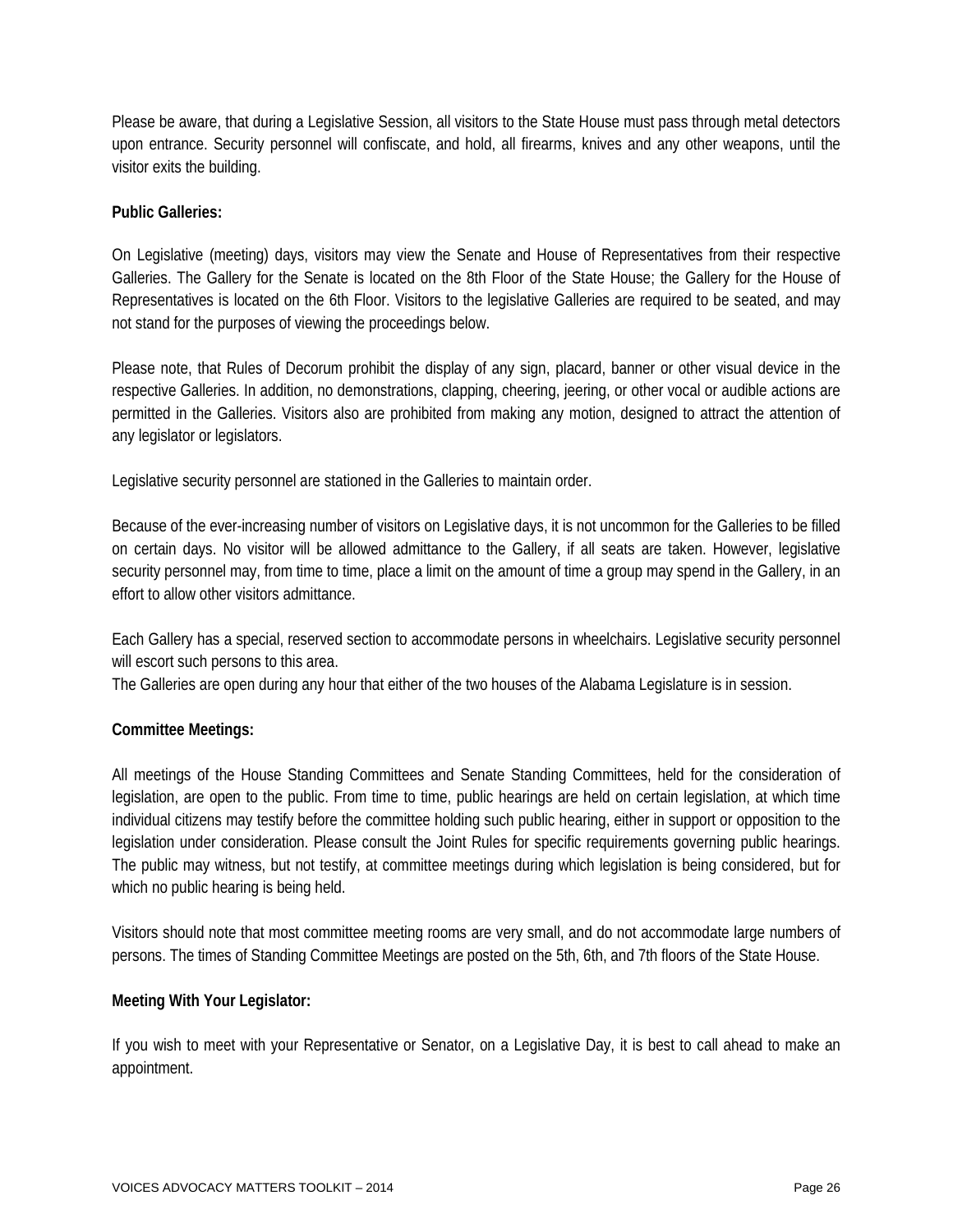Please be aware, that during a Legislative Session, all visitors to the State House must pass through metal detectors upon entrance. Security personnel will confiscate, and hold, all firearms, knives and any other weapons, until the visitor exits the building.

#### **Public Galleries:**

On Legislative (meeting) days, visitors may view the Senate and House of Representatives from their respective Galleries. The Gallery for the Senate is located on the 8th Floor of the State House; the Gallery for the House of Representatives is located on the 6th Floor. Visitors to the legislative Galleries are required to be seated, and may not stand for the purposes of viewing the proceedings below.

Please note, that Rules of Decorum prohibit the display of any sign, placard, banner or other visual device in the respective Galleries. In addition, no demonstrations, clapping, cheering, jeering, or other vocal or audible actions are permitted in the Galleries. Visitors also are prohibited from making any motion, designed to attract the attention of any legislator or legislators.

Legislative security personnel are stationed in the Galleries to maintain order.

Because of the ever-increasing number of visitors on Legislative days, it is not uncommon for the Galleries to be filled on certain days. No visitor will be allowed admittance to the Gallery, if all seats are taken. However, legislative security personnel may, from time to time, place a limit on the amount of time a group may spend in the Gallery, in an effort to allow other visitors admittance.

Each Gallery has a special, reserved section to accommodate persons in wheelchairs. Legislative security personnel will escort such persons to this area.

The Galleries are open during any hour that either of the two houses of the Alabama Legislature is in session.

#### **Committee Meetings:**

All meetings of the [House Standing Committees](http://www.legislature.state.al.us/house/housecommittees/housecommittees.html) and [Senate Standing Committees,](http://www.legislature.state.al.us/senate/senatecommittees/senatecommittees.html) held for the consideration of legislation, are open to the public. From time to time, public hearings are held on certain legislation, at which time individual citizens may testify before the committee holding such public hearing, either in support or opposition to the legislation under consideration. Please consult the [Joint Rules](http://www.legislature.state.al.us/misc/jointrules/jointrulesindex.html) for specific requirements governing public hearings. The public may witness, but not testify, at committee meetings during which legislation is being considered, but for which no public hearing is being held.

Visitors should note that most committee meeting rooms are very small, and do not accommodate large numbers of persons. The times of Standing Committee Meetings are posted on the 5th, 6th, and 7th floors of the State House.

#### **Meeting With Your Legislator:**

If you wish to meet with your Representative or Senator, on a Legislative Day, it is best to call ahead to make an appointment.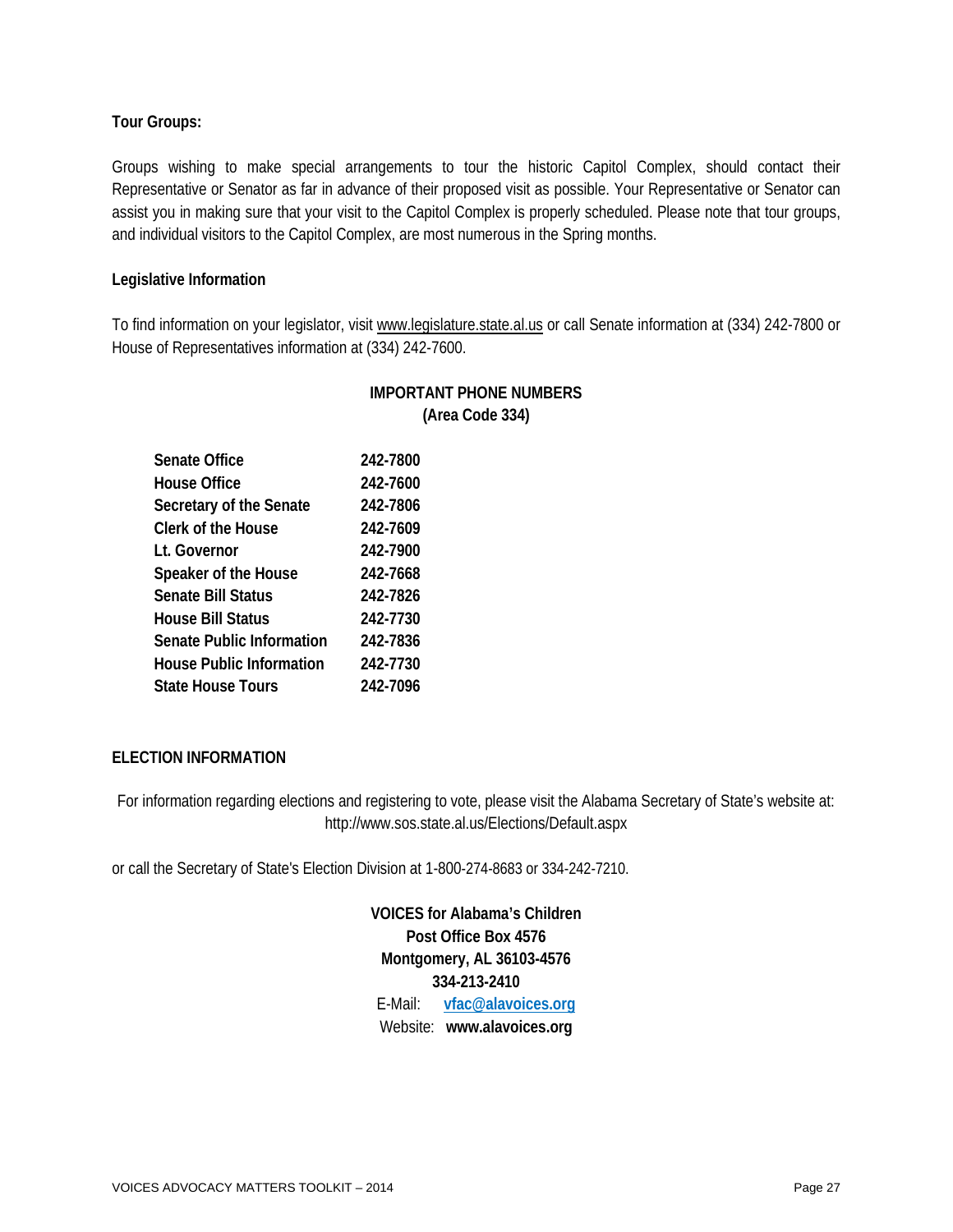#### **Tour Groups:**

Groups wishing to make special arrangements to tour the historic Capitol Complex, should contact their Representative or Senator as far in advance of their proposed visit as possible. Your Representative or Senator can assist you in making sure that your visit to the Capitol Complex is properly scheduled. Please note that tour groups, and individual visitors to the Capitol Complex, are most numerous in the Spring months.

#### **Legislative Information**

To find information on your legislator, visit [www.legislature.state.al.us](http://www.legislature.state.al.us/) or call Senate information at (334) 242-7800 or House of Representatives information at (334) 242-7600.

> **IMPORTANT PHONE NUMBERS (Area Code 334)**

| Senate Office             | 242-7800 |
|---------------------------|----------|
| House Office              | 242-7600 |
| Secretary of the Senate   | 242-7806 |
| Clerk of the House        | 242-7609 |
| Lt. Governor              | 242-7900 |
| Speaker of the House      | 242-7668 |
| Senate Bill Status        | 242-7826 |
| House Bill Status         | 242-7730 |
| Senate Public Information | 242-7836 |
| House Public Information  | 242-7730 |
| State House Tours         | 242-7096 |

#### **ELECTION INFORMATION**

For information regarding elections and registering to vote, please visit the Alabama Secretary of State's website at: http://www.sos.state.al.us/Elections/Default.aspx

or call the Secretary of State's Election Division at 1-800-274-8683 or 334-242-7210.

**VOICES for Alabama's Children Post Office Box 4576 Montgomery, AL 36103-4576 334-213-2410** E-Mail: **[vfac@alavoices.org](mailto:vfac@alavoices.org)** Website: **www.alavoices.org**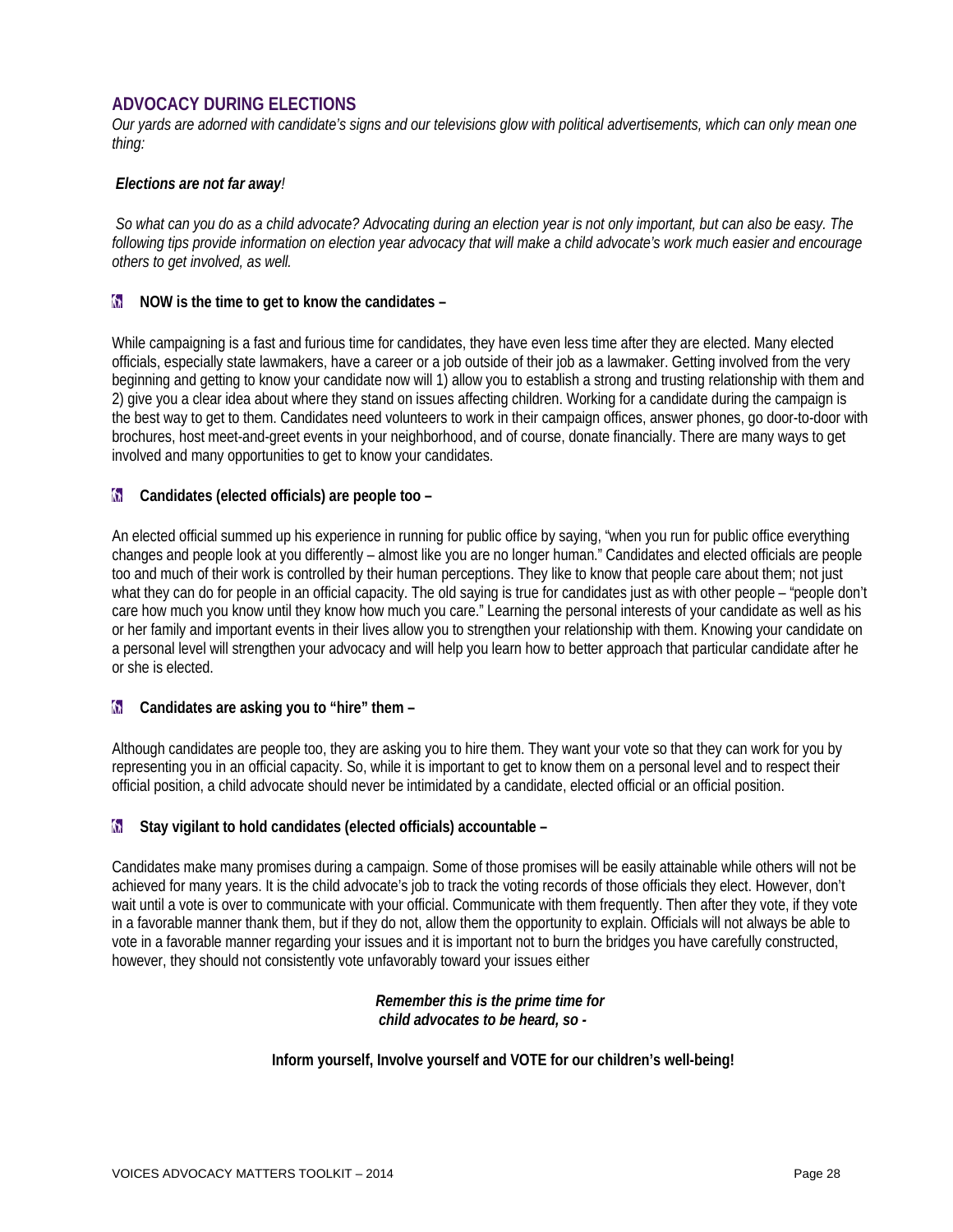#### **ADVOCACY DURING ELECTIONS**

*Our yards are adorned with candidate's signs and our televisions glow with political advertisements, which can only mean one thing:*

#### *Elections are not far away!*

*So what can you do as a child advocate? Advocating during an election year is not only important, but can also be easy. The following tips provide information on election year advocacy that will make a child advocate's work much easier and encourage others to get involved, as well.*

#### **Now is the time to get to know the candidates –**

While campaigning is a fast and furious time for candidates, they have even less time after they are elected. Many elected officials, especially state lawmakers, have a career or a job outside of their job as a lawmaker. Getting involved from the very beginning and getting to know your candidate now will 1) allow you to establish a strong and trusting relationship with them and 2) give you a clear idea about where they stand on issues affecting children. Working for a candidate during the campaign is the best way to get to them. Candidates need volunteers to work in their campaign offices, answer phones, go door-to-door with brochures, host meet-and-greet events in your neighborhood, and of course, donate financially. There are many ways to get involved and many opportunities to get to know your candidates.

#### **Candidates (elected officials) are people too –**

An elected official summed up his experience in running for public office by saying, "when you run for public office everything changes and people look at you differently – almost like you are no longer human." Candidates and elected officials are people too and much of their work is controlled by their human perceptions. They like to know that people care about them; not just what they can do for people in an official capacity. The old saying is true for candidates just as with other people – "people don't care how much you know until they know how much you care." Learning the personal interests of your candidate as well as his or her family and important events in their lives allow you to strengthen your relationship with them. Knowing your candidate on a personal level will strengthen your advocacy and will help you learn how to better approach that particular candidate after he or she is elected.

#### **Candidates are asking you to "hire" them -**

Although candidates are people too, they are asking you to hire them. They want your vote so that they can work for you by representing you in an official capacity. So, while it is important to get to know them on a personal level and to respect their official position, a child advocate should never be intimidated by a candidate, elected official or an official position.

#### **M** Stay vigilant to hold candidates (elected officials) accountable –

Candidates make many promises during a campaign. Some of those promises will be easily attainable while others will not be achieved for many years. It is the child advocate's job to track the voting records of those officials they elect. However, don't wait until a vote is over to communicate with your official. Communicate with them frequently. Then after they vote, if they vote in a favorable manner thank them, but if they do not, allow them the opportunity to explain. Officials will not always be able to vote in a favorable manner regarding your issues and it is important not to burn the bridges you have carefully constructed, however, they should not consistently vote unfavorably toward your issues either

#### *Remember this is the prime time for child advocates to be heard, so -*

#### **Inform yourself, Involve yourself and VOTE for our children's well-being!**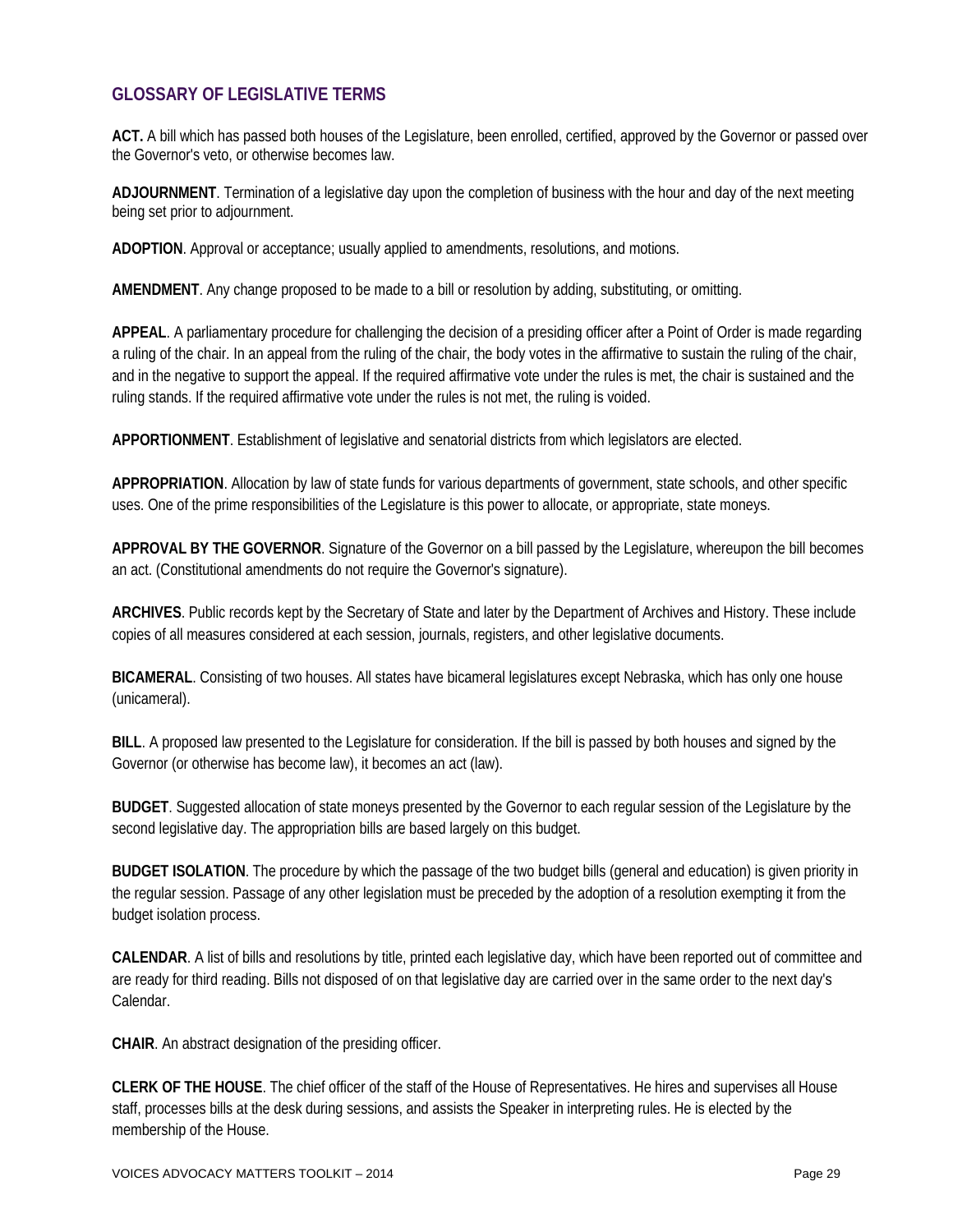#### **GLOSSARY OF LEGISLATIVE TERMS**

**ACT.** A bill which has passed both houses of the Legislature, been enrolled, certified, approved by the Governor or passed over the Governor's veto, or otherwise becomes law.

**ADJOURNMENT**. Termination of a legislative day upon the completion of business with the hour and day of the next meeting being set prior to adjournment.

**ADOPTION**. Approval or acceptance; usually applied to amendments, resolutions, and motions.

**AMENDMENT**. Any change proposed to be made to a bill or resolution by adding, substituting, or omitting.

**APPEAL**. A parliamentary procedure for challenging the decision of a presiding officer after a Point of Order is made regarding a ruling of the chair. In an appeal from the ruling of the chair, the body votes in the affirmative to sustain the ruling of the chair, and in the negative to support the appeal. If the required affirmative vote under the rules is met, the chair is sustained and the ruling stands. If the required affirmative vote under the rules is not met, the ruling is voided.

**APPORTIONMENT**. Establishment of legislative and senatorial districts from which legislators are elected.

**APPROPRIATION**. Allocation by law of state funds for various departments of government, state schools, and other specific uses. One of the prime responsibilities of the Legislature is this power to allocate, or appropriate, state moneys.

**APPROVAL BY THE GOVERNOR**. Signature of the Governor on a bill passed by the Legislature, whereupon the bill becomes an act. (Constitutional amendments do not require the Governor's signature).

**ARCHIVES**. Public records kept by the Secretary of State and later by the Department of Archives and History. These include copies of all measures considered at each session, journals, registers, and other legislative documents.

**BICAMERAL**. Consisting of two houses. All states have bicameral legislatures except Nebraska, which has only one house (unicameral).

**BILL**. A proposed law presented to the Legislature for consideration. If the bill is passed by both houses and signed by the Governor (or otherwise has become law), it becomes an act (law).

**BUDGET**. Suggested allocation of state moneys presented by the Governor to each regular session of the Legislature by the second legislative day. The appropriation bills are based largely on this budget.

**BUDGET ISOLATION**. The procedure by which the passage of the two budget bills (general and education) is given priority in the regular session. Passage of any other legislation must be preceded by the adoption of a resolution exempting it from the budget isolation process.

**CALENDAR**. A list of bills and resolutions by title, printed each legislative day, which have been reported out of committee and are ready for third reading. Bills not disposed of on that legislative day are carried over in the same order to the next day's Calendar.

**CHAIR**. An abstract designation of the presiding officer.

**CLERK OF THE HOUSE**. The chief officer of the staff of the House of Representatives. He hires and supervises all House staff, processes bills at the desk during sessions, and assists the Speaker in interpreting rules. He is elected by the membership of the House.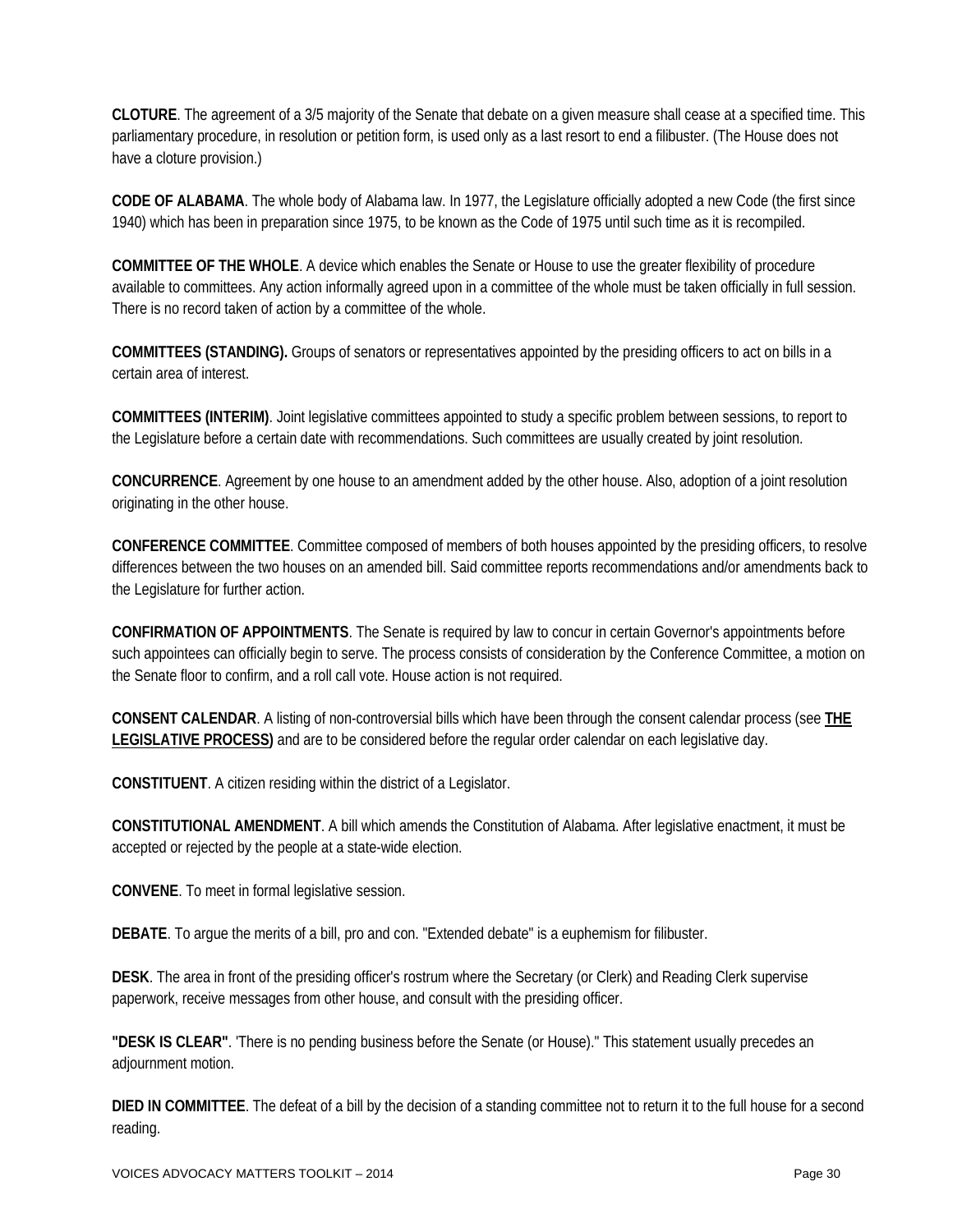**CLOTURE**. The agreement of a 3/5 majority of the Senate that debate on a given measure shall cease at a specified time. This parliamentary procedure, in resolution or petition form, is used only as a last resort to end a filibuster. (The House does not have a cloture provision.)

**CODE OF ALABAMA**. The whole body of Alabama law. In 1977, the Legislature officially adopted a new Code (the first since 1940) which has been in preparation since 1975, to be known as the Code of 1975 until such time as it is recompiled.

**COMMITTEE OF THE WHOLE**. A device which enables the Senate or House to use the greater flexibility of procedure available to committees. Any action informally agreed upon in a committee of the whole must be taken officially in full session. There is no record taken of action by a committee of the whole.

**COMMITTEES (STANDING).** Groups of senators or representatives appointed by the presiding officers to act on bills in a certain area of interest.

**COMMITTEES (INTERIM)**. Joint legislative committees appointed to study a specific problem between sessions, to report to the Legislature before a certain date with recommendations. Such committees are usually created by joint resolution.

**CONCURRENCE**. Agreement by one house to an amendment added by the other house. Also, adoption of a joint resolution originating in the other house.

**CONFERENCE COMMITTEE**. Committee composed of members of both houses appointed by the presiding officers, to resolve differences between the two houses on an amended bill. Said committee reports recommendations and/or amendments back to the Legislature for further action.

**CONFIRMATION OF APPOINTMENTS**. The Senate is required by law to concur in certain Governor's appointments before such appointees can officially begin to serve. The process consists of consideration by the Conference Committee, a motion on the Senate floor to confirm, and a roll call vote. House action is not required.

**CONSENT CALENDAR**. A listing of non-controversial bills which have been through the consent calendar process (see **[THE](http://www.legislature.state.al.us/misc/legislativeprocess/legislativeprocess_ml.html%23anchor215354)  [LEGISLATIVE PROCESS\)](http://www.legislature.state.al.us/misc/legislativeprocess/legislativeprocess_ml.html%23anchor215354)** and are to be considered before the regular order calendar on each legislative day.

**CONSTITUENT**. A citizen residing within the district of a Legislator.

**CONSTITUTIONAL AMENDMENT**. A bill which amends the Constitution of Alabama. After legislative enactment, it must be accepted or rejected by the people at a state-wide election.

**CONVENE**. To meet in formal legislative session.

**DEBATE**. To argue the merits of a bill, pro and con. "Extended debate" is a euphemism for filibuster.

**DESK**. The area in front of the presiding officer's rostrum where the Secretary (or Clerk) and Reading Clerk supervise paperwork, receive messages from other house, and consult with the presiding officer.

**"DESK IS CLEAR"**. 'There is no pending business before the Senate (or House)." This statement usually precedes an adiournment motion.

**DIED IN COMMITTEE**. The defeat of a bill by the decision of a standing committee not to return it to the full house for a second reading.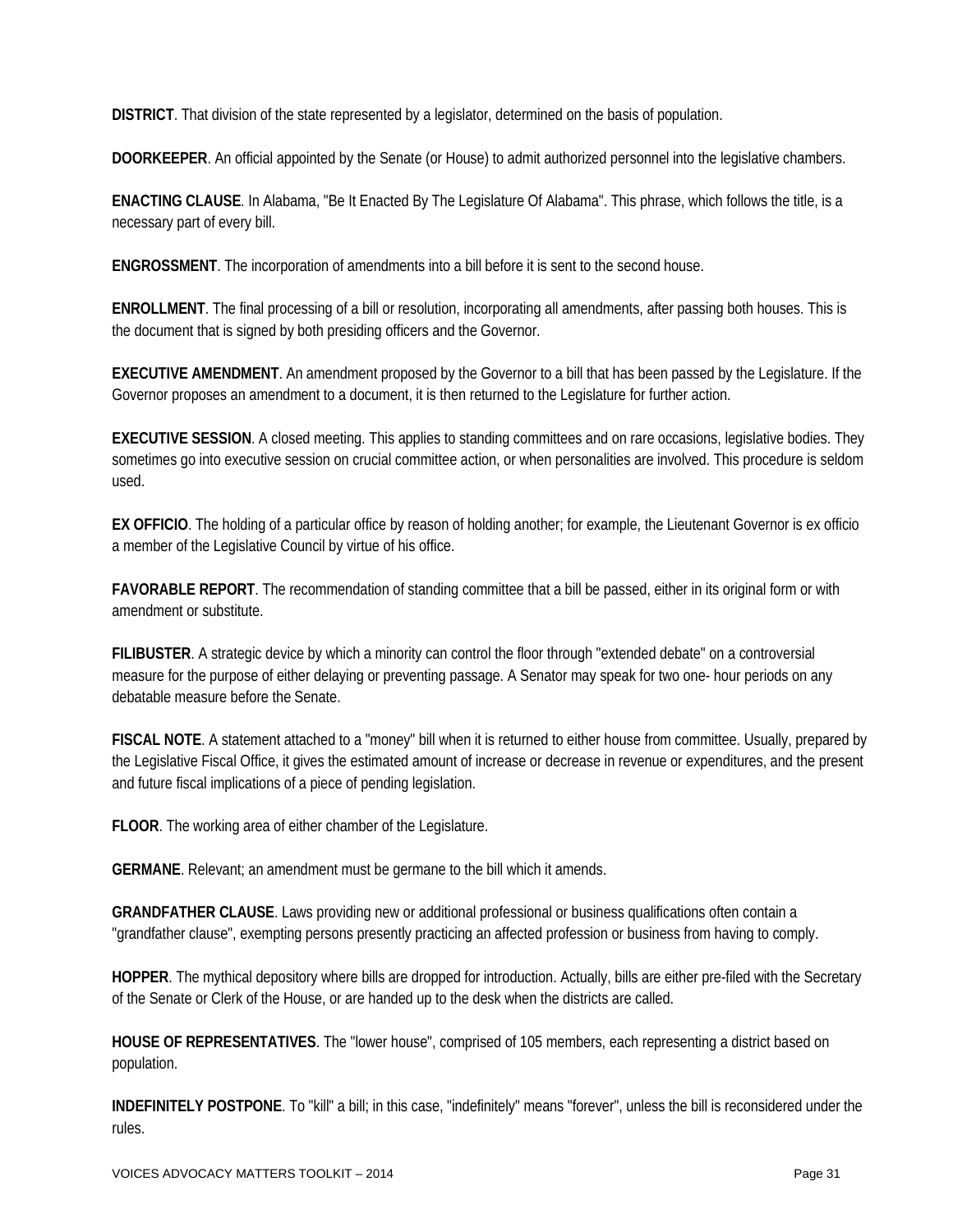**DISTRICT**. That division of the state represented by a legislator, determined on the basis of population.

**DOORKEEPER**. An official appointed by the Senate (or House) to admit authorized personnel into the legislative chambers.

**ENACTING CLAUSE**. In Alabama, "Be It Enacted By The Legislature Of Alabama". This phrase, which follows the title, is a necessary part of every bill.

**ENGROSSMENT**. The incorporation of amendments into a bill before it is sent to the second house.

**ENROLLMENT**. The final processing of a bill or resolution, incorporating all amendments, after passing both houses. This is the document that is signed by both presiding officers and the Governor.

**EXECUTIVE AMENDMENT**. An amendment proposed by the Governor to a bill that has been passed by the Legislature. If the Governor proposes an amendment to a document, it is then returned to the Legislature for further action.

**EXECUTIVE SESSION**. A closed meeting. This applies to standing committees and on rare occasions, legislative bodies. They sometimes go into executive session on crucial committee action, or when personalities are involved. This procedure is seldom used.

**EX OFFICIO**. The holding of a particular office by reason of holding another; for example, the Lieutenant Governor is ex officio a member of the Legislative Council by virtue of his office.

**FAVORABLE REPORT**. The recommendation of standing committee that a bill be passed, either in its original form or with amendment or substitute.

**FILIBUSTER**. A strategic device by which a minority can control the floor through "extended debate" on a controversial measure for the purpose of either delaying or preventing passage. A Senator may speak for two one- hour periods on any debatable measure before the Senate.

**FISCAL NOTE**. A statement attached to a "money" bill when it is returned to either house from committee. Usually, prepared by the Legislative Fiscal Office, it gives the estimated amount of increase or decrease in revenue or expenditures, and the present and future fiscal implications of a piece of pending legislation.

**FLOOR**. The working area of either chamber of the Legislature.

**GERMANE**. Relevant; an amendment must be germane to the bill which it amends.

**GRANDFATHER CLAUSE**. Laws providing new or additional professional or business qualifications often contain a "grandfather clause", exempting persons presently practicing an affected profession or business from having to comply.

**HOPPER**. The mythical depository where bills are dropped for introduction. Actually, bills are either pre-filed with the Secretary of the Senate or Clerk of the House, or are handed up to the desk when the districts are called.

**HOUSE OF REPRESENTATIVES**. The "lower house", comprised of 105 members, each representing a district based on population.

**INDEFINITELY POSTPONE**. To "kill" a bill; in this case, "indefinitely" means "forever", unless the bill is reconsidered under the rules.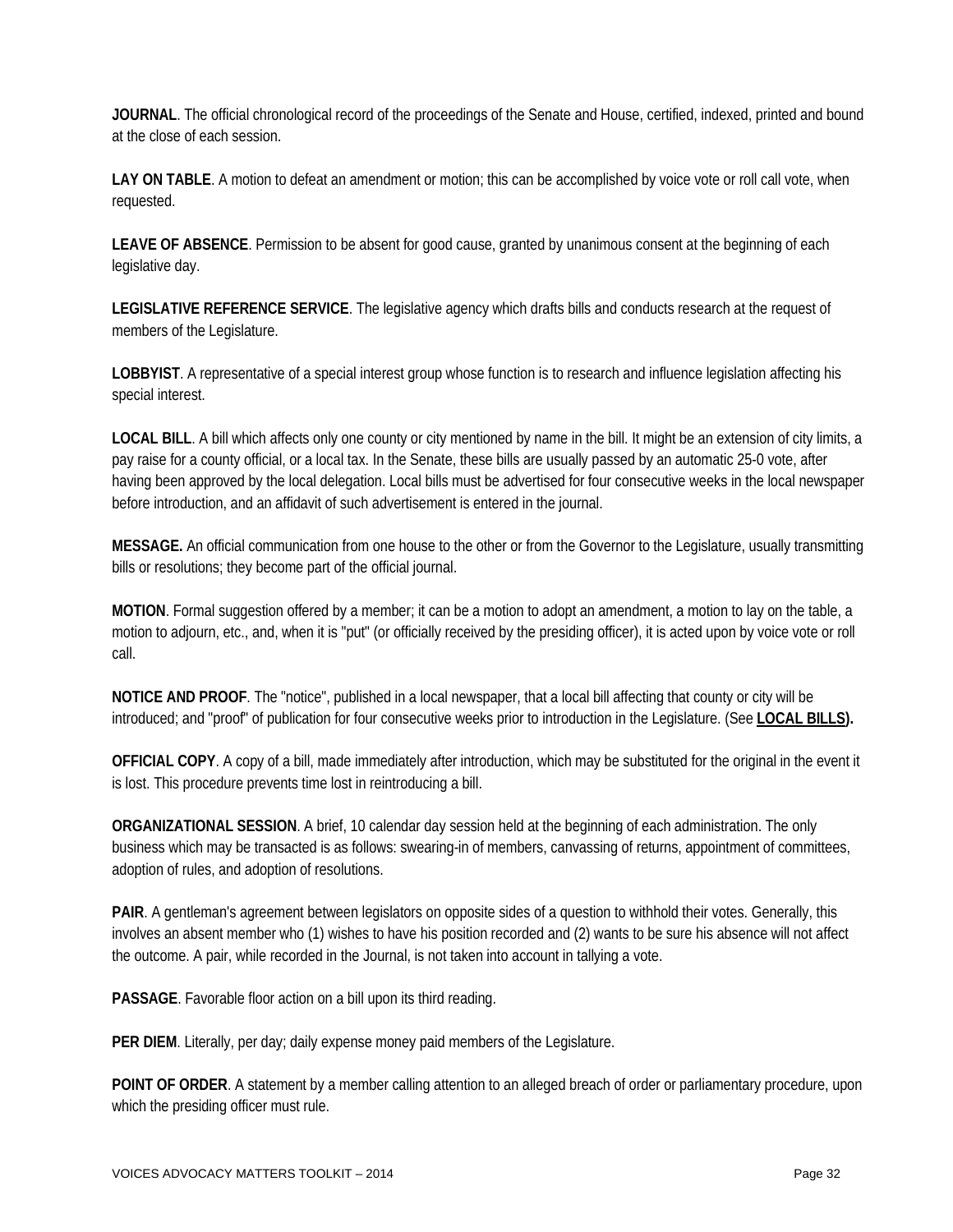**JOURNAL**. The official chronological record of the proceedings of the Senate and House, certified, indexed, printed and bound at the close of each session.

**LAY ON TABLE**. A motion to defeat an amendment or motion; this can be accomplished by voice vote or roll call vote, when requested.

**LEAVE OF ABSENCE**. Permission to be absent for good cause, granted by unanimous consent at the beginning of each legislative day.

**LEGISLATIVE REFERENCE SERVICE**. The legislative agency which drafts bills and conducts research at the request of members of the Legislature.

**LOBBYIST**. A representative of a special interest group whose function is to research and influence legislation affecting his special interest.

**LOCAL BILL**. A bill which affects only one county or city mentioned by name in the bill. It might be an extension of city limits, a pay raise for a county official, or a local tax. In the Senate, these bills are usually passed by an automatic 25-0 vote, after having been approved by the local delegation. Local bills must be advertised for four consecutive weeks in the local newspaper before introduction, and an affidavit of such advertisement is entered in the journal.

**MESSAGE.** An official communication from one house to the other or from the Governor to the Legislature, usually transmitting bills or resolutions; they become part of the official journal.

**MOTION**. Formal suggestion offered by a member; it can be a motion to adopt an amendment, a motion to lay on the table, a motion to adjourn, etc., and, when it is "put" (or officially received by the presiding officer), it is acted upon by voice vote or roll call.

**NOTICE AND PROOF**. The "notice", published in a local newspaper, that a local bill affecting that county or city will be introduced; and "proof" of publication for four consecutive weeks prior to introduction in the Legislature. (See **[LOCAL BILLS\)](http://www.legislature.state.al.us/misc/legislativeprocess/legislativeglossary.html%23anchor228924%23anchor228924).**

**OFFICIAL COPY**. A copy of a bill, made immediately after introduction, which may be substituted for the original in the event it is lost. This procedure prevents time lost in reintroducing a bill.

**ORGANIZATIONAL SESSION**. A brief, 10 calendar day session held at the beginning of each administration. The only business which may be transacted is as follows: swearing-in of members, canvassing of returns, appointment of committees, adoption of rules, and adoption of resolutions.

**PAIR**. A gentleman's agreement between legislators on opposite sides of a question to withhold their votes. Generally, this involves an absent member who (1) wishes to have his position recorded and (2) wants to be sure his absence will not affect the outcome. A pair, while recorded in the Journal, is not taken into account in tallying a vote.

**PASSAGE**. Favorable floor action on a bill upon its third reading.

**PER DIEM**. Literally, per day; daily expense money paid members of the Legislature.

**POINT OF ORDER**. A statement by a member calling attention to an alleged breach of order or parliamentary procedure, upon which the presiding officer must rule.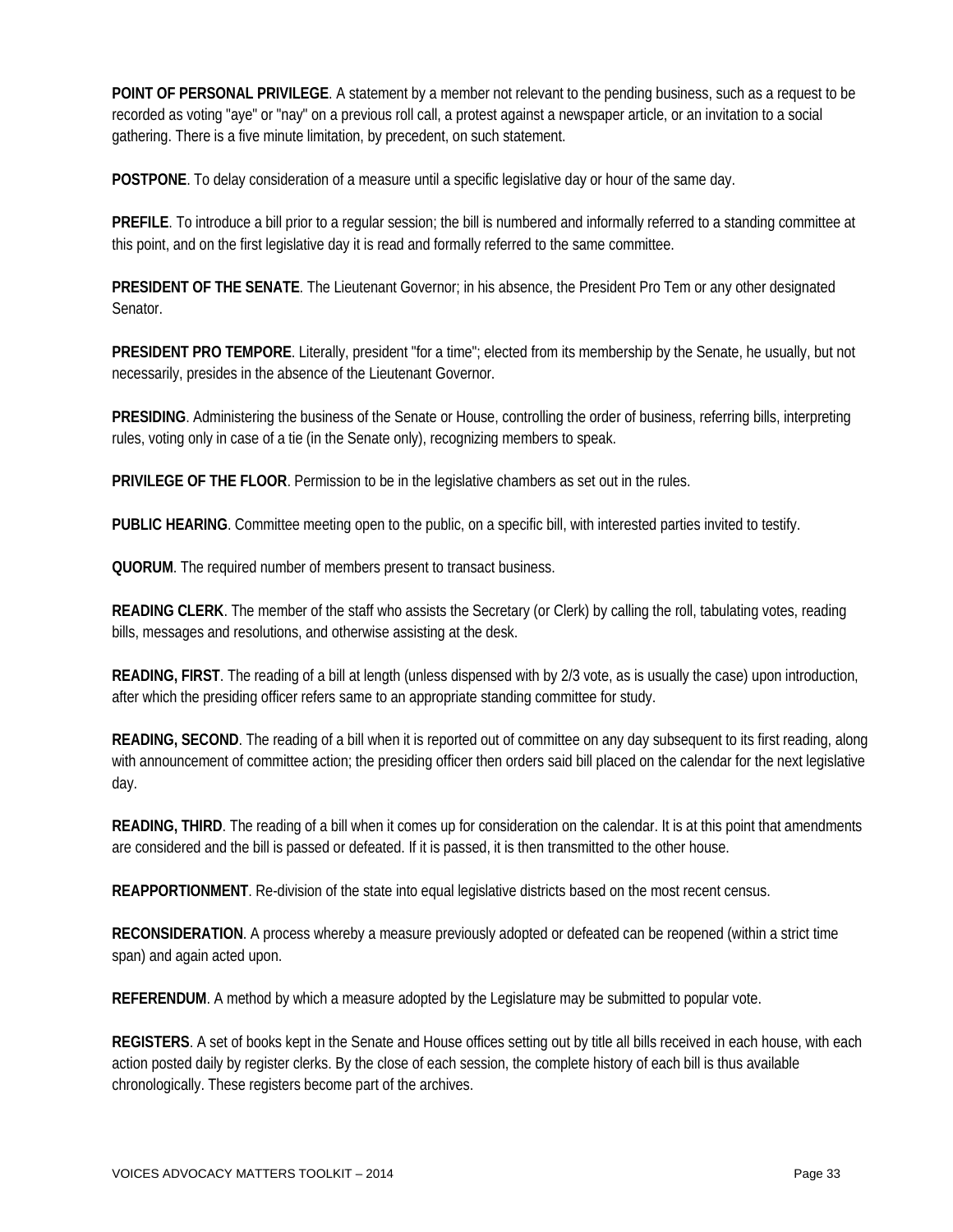**POINT OF PERSONAL PRIVILEGE**. A statement by a member not relevant to the pending business, such as a request to be recorded as voting "aye" or "nay" on a previous roll call, a protest against a newspaper article, or an invitation to a social gathering. There is a five minute limitation, by precedent, on such statement.

**POSTPONE**. To delay consideration of a measure until a specific legislative day or hour of the same day.

**PREFILE**. To introduce a bill prior to a regular session; the bill is numbered and informally referred to a standing committee at this point, and on the first legislative day it is read and formally referred to the same committee.

**PRESIDENT OF THE SENATE**. The Lieutenant Governor; in his absence, the President Pro Tem or any other designated Senator.

**PRESIDENT PRO TEMPORE**. Literally, president "for a time"; elected from its membership by the Senate, he usually, but not necessarily, presides in the absence of the Lieutenant Governor.

**PRESIDING**. Administering the business of the Senate or House, controlling the order of business, referring bills, interpreting rules, voting only in case of a tie (in the Senate only), recognizing members to speak.

**PRIVILEGE OF THE FLOOR**. Permission to be in the legislative chambers as set out in the rules.

**PUBLIC HEARING**. Committee meeting open to the public, on a specific bill, with interested parties invited to testify.

**QUORUM**. The required number of members present to transact business.

**READING CLERK**. The member of the staff who assists the Secretary (or Clerk) by calling the roll, tabulating votes, reading bills, messages and resolutions, and otherwise assisting at the desk.

**READING, FIRST**. The reading of a bill at length (unless dispensed with by 2/3 vote, as is usually the case) upon introduction, after which the presiding officer refers same to an appropriate standing committee for study.

**READING, SECOND**. The reading of a bill when it is reported out of committee on any day subsequent to its first reading, along with announcement of committee action; the presiding officer then orders said bill placed on the calendar for the next legislative day.

**READING, THIRD**. The reading of a bill when it comes up for consideration on the calendar. It is at this point that amendments are considered and the bill is passed or defeated. If it is passed, it is then transmitted to the other house.

**REAPPORTIONMENT**. Re-division of the state into equal legislative districts based on the most recent census.

**RECONSIDERATION**. A process whereby a measure previously adopted or defeated can be reopened (within a strict time span) and again acted upon.

**REFERENDUM**. A method by which a measure adopted by the Legislature may be submitted to popular vote.

**REGISTERS**. A set of books kept in the Senate and House offices setting out by title all bills received in each house, with each action posted daily by register clerks. By the close of each session, the complete history of each bill is thus available chronologically. These registers become part of the archives.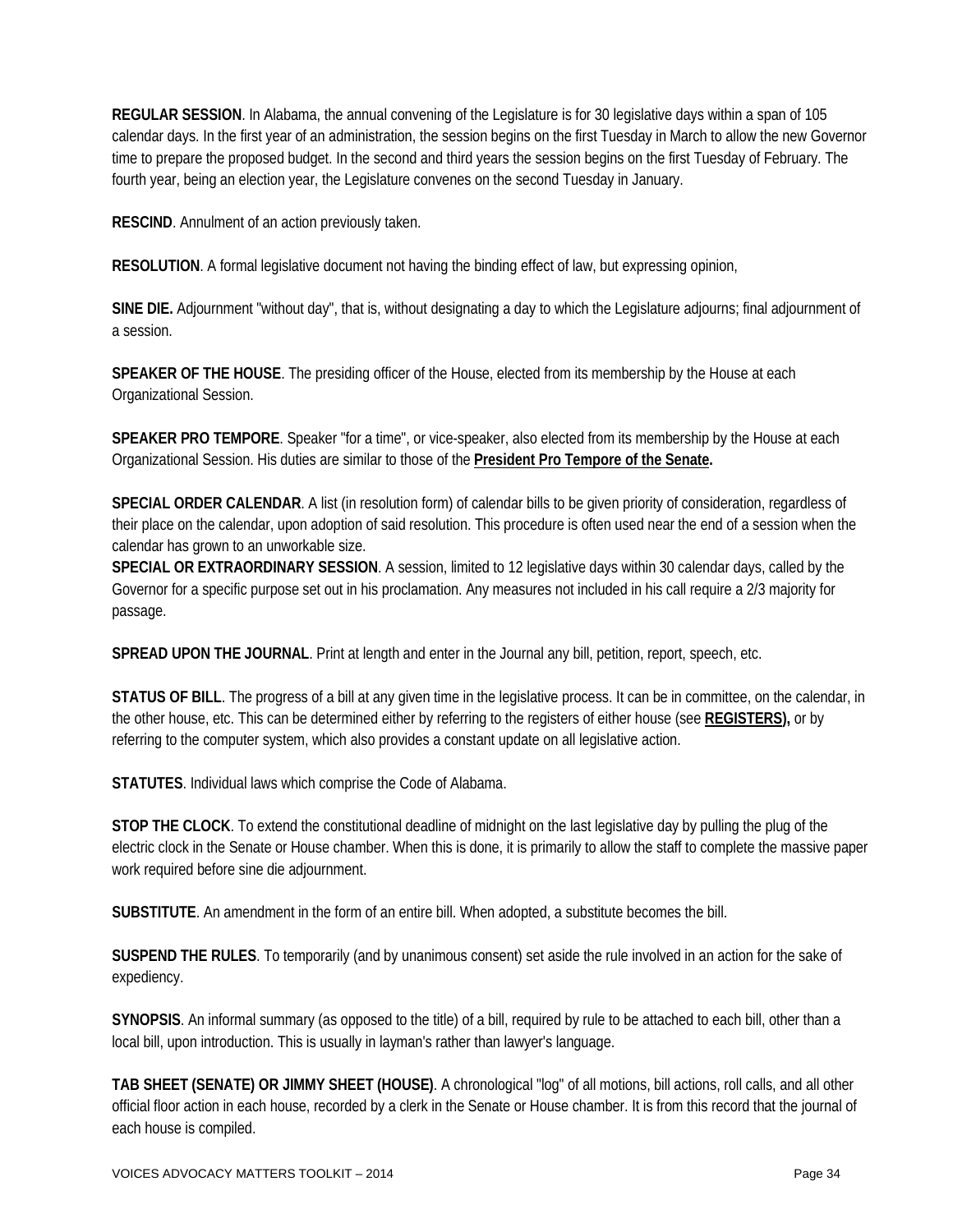**REGULAR SESSION**. In Alabama, the annual convening of the Legislature is for 30 legislative days within a span of 105 calendar days. In the first year of an administration, the session begins on the first Tuesday in March to allow the new Governor time to prepare the proposed budget. In the second and third years the session begins on the first Tuesday of February. The fourth year, being an election year, the Legislature convenes on the second Tuesday in January.

**RESCIND**. Annulment of an action previously taken.

**RESOLUTION**. A formal legislative document not having the binding effect of law, but expressing opinion,

**SINE DIE.** Adjournment "without day", that is, without designating a day to which the Legislature adjourns; final adjournment of a session.

**SPEAKER OF THE HOUSE**. The presiding officer of the House, elected from its membership by the House at each Organizational Session.

**SPEAKER PRO TEMPORE**. Speaker "for a time", or vice-speaker, also elected from its membership by the House at each Organizational Session. His duties are similar to those of the **[President Pro Tempore of the Senate.](http://www.legislature.state.al.us/misc/legislativeprocess/legislativeglossary.html%23anchor250787%23anchor250787)** 

**SPECIAL ORDER CALENDAR**. A list (in resolution form) of calendar bills to be given priority of consideration, regardless of their place on the calendar, upon adoption of said resolution. This procedure is often used near the end of a session when the calendar has grown to an unworkable size.

**SPECIAL OR EXTRAORDINARY SESSION**. A session, limited to 12 legislative days within 30 calendar days, called by the Governor for a specific purpose set out in his proclamation. Any measures not included in his call require a 2/3 majority for passage.

**SPREAD UPON THE JOURNAL**. Print at length and enter in the Journal any bill, petition, report, speech, etc.

**STATUS OF BILL**. The progress of a bill at any given time in the legislative process. It can be in committee, on the calendar, in the other house, etc. This can be determined either by referring to the registers of either house (see **[REGISTERS\)](http://www.legislature.state.al.us/misc/legislativeprocess/legislativeglossary.html%23anchor262126%23anchor262126),** or by referring to the computer system, which also provides a constant update on all legislative action.

**STATUTES**. Individual laws which comprise the Code of Alabama.

**STOP THE CLOCK**. To extend the constitutional deadline of midnight on the last legislative day by pulling the plug of the electric clock in the Senate or House chamber. When this is done, it is primarily to allow the staff to complete the massive paper work required before sine die adjournment.

**SUBSTITUTE**. An amendment in the form of an entire bill. When adopted, a substitute becomes the bill.

**SUSPEND THE RULES**. To temporarily (and by unanimous consent) set aside the rule involved in an action for the sake of expediency.

**SYNOPSIS**. An informal summary (as opposed to the title) of a bill, required by rule to be attached to each bill, other than a local bill, upon introduction. This is usually in layman's rather than lawyer's language.

**TAB SHEET (SENATE) OR JIMMY SHEET (HOUSE)**. A chronological "log" of all motions, bill actions, roll calls, and all other official floor action in each house, recorded by a clerk in the Senate or House chamber. It is from this record that the journal of each house is compiled.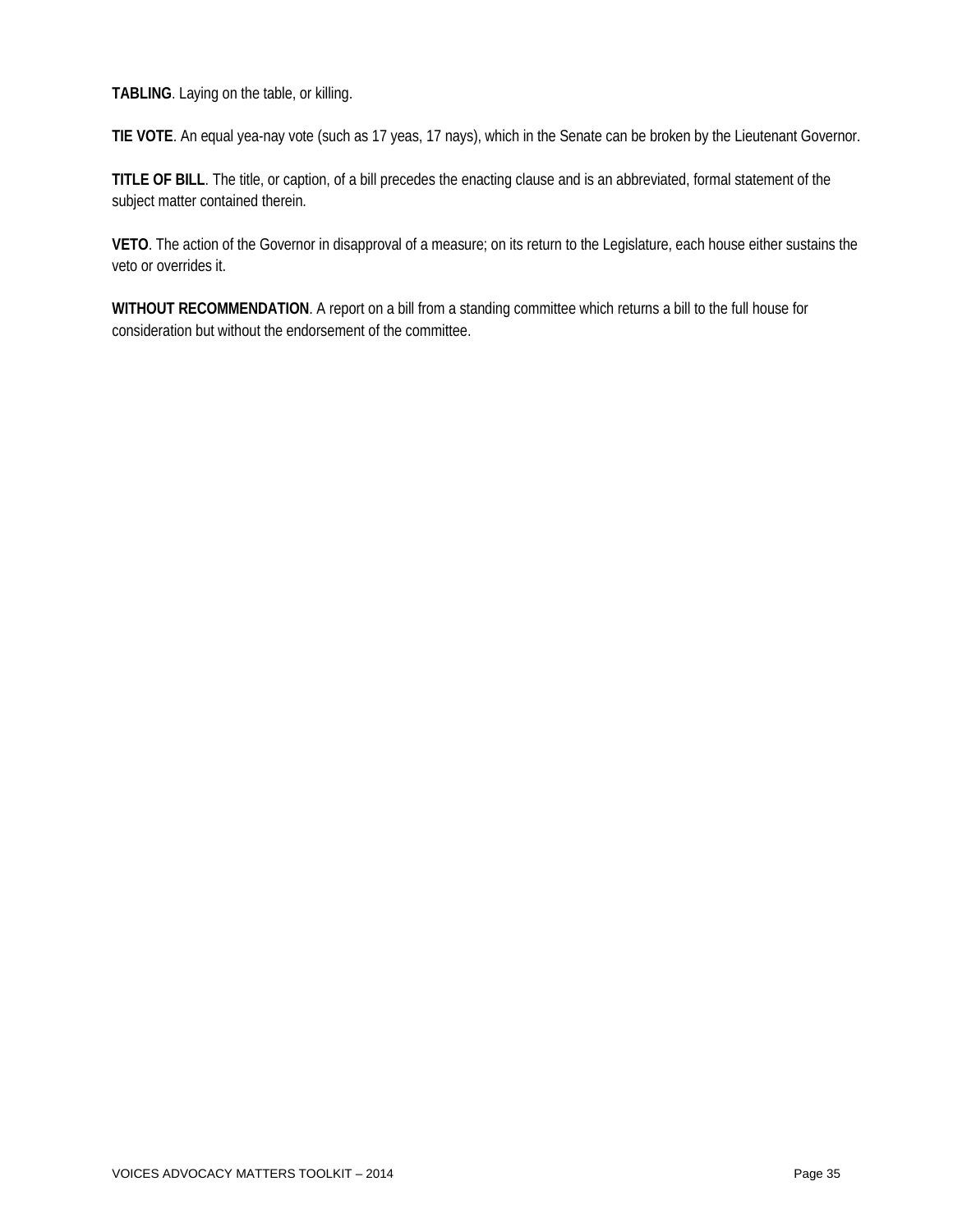**TABLING**. Laying on the table, or killing.

**TIE VOTE**. An equal yea-nay vote (such as 17 yeas, 17 nays), which in the Senate can be broken by the Lieutenant Governor.

**TITLE OF BILL**. The title, or caption, of a bill precedes the enacting clause and is an abbreviated, formal statement of the subject matter contained therein.

**VETO**. The action of the Governor in disapproval of a measure; on its return to the Legislature, each house either sustains the veto or overrides it.

**WITHOUT RECOMMENDATION**. A report on a bill from a standing committee which returns a bill to the full house for consideration but without the endorsement of the committee.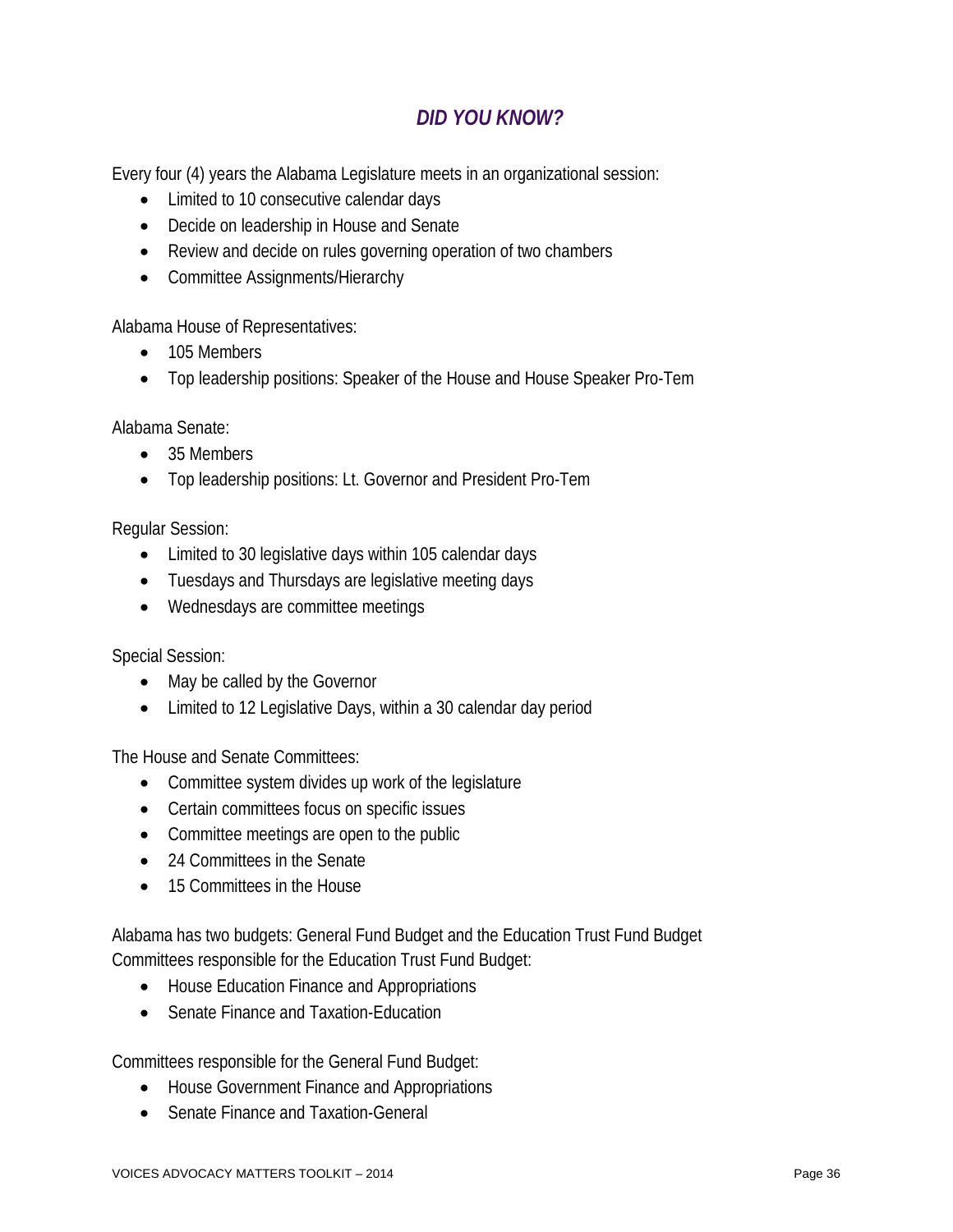# *DID YOU KNOW?*

Every four (4) years the Alabama Legislature meets in an organizational session:

- Limited to 10 consecutive calendar days
- Decide on leadership in House and Senate
- Review and decide on rules governing operation of two chambers
- Committee Assignments/Hierarchy

Alabama House of Representatives:

- 105 Members
- Top leadership positions: Speaker of the House and House Speaker Pro-Tem

Alabama Senate:

- 35 Members
- Top leadership positions: Lt. Governor and President Pro-Tem

Regular Session:

- Limited to 30 legislative days within 105 calendar days
- Tuesdays and Thursdays are legislative meeting days
- Wednesdays are committee meetings

Special Session:

- May be called by the Governor
- Limited to 12 Legislative Days, within a 30 calendar day period

The House and Senate Committees:

- Committee system divides up work of the legislature
- Certain committees focus on specific issues
- Committee meetings are open to the public
- 24 Committees in the Senate
- 15 Committees in the House

Alabama has two budgets: General Fund Budget and the Education Trust Fund Budget Committees responsible for the Education Trust Fund Budget:

- House Education Finance and Appropriations
- Senate Finance and Taxation-Education

Committees responsible for the General Fund Budget:

- House Government Finance and Appropriations
- Senate Finance and Taxation-General